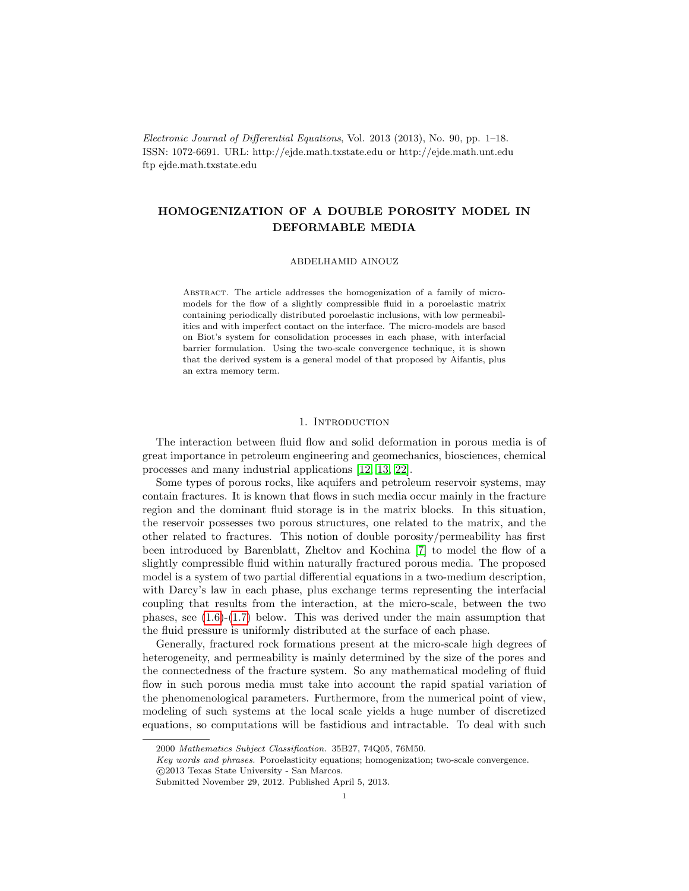Electronic Journal of Differential Equations, Vol. 2013 (2013), No. 90, pp. 1–18. ISSN: 1072-6691. URL: http://ejde.math.txstate.edu or http://ejde.math.unt.edu ftp ejde.math.txstate.edu

# HOMOGENIZATION OF A DOUBLE POROSITY MODEL IN DEFORMABLE MEDIA

#### ABDELHAMID AINOUZ

Abstract. The article addresses the homogenization of a family of micromodels for the flow of a slightly compressible fluid in a poroelastic matrix containing periodically distributed poroelastic inclusions, with low permeabilities and with imperfect contact on the interface. The micro-models are based on Biot's system for consolidation processes in each phase, with interfacial barrier formulation. Using the two-scale convergence technique, it is shown that the derived system is a general model of that proposed by Aifantis, plus an extra memory term.

### 1. Introduction

The interaction between fluid flow and solid deformation in porous media is of great importance in petroleum engineering and geomechanics, biosciences, chemical processes and many industrial applications [\[12,](#page-16-0) [13,](#page-16-1) [22\]](#page-17-0).

Some types of porous rocks, like aquifers and petroleum reservoir systems, may contain fractures. It is known that flows in such media occur mainly in the fracture region and the dominant fluid storage is in the matrix blocks. In this situation, the reservoir possesses two porous structures, one related to the matrix, and the other related to fractures. This notion of double porosity/permeability has first been introduced by Barenblatt, Zheltov and Kochina [\[7\]](#page-16-2) to model the flow of a slightly compressible fluid within naturally fractured porous media. The proposed model is a system of two partial differential equations in a two-medium description, with Darcy's law in each phase, plus exchange terms representing the interfacial coupling that results from the interaction, at the micro-scale, between the two phases, see  $(1.6)-(1.7)$  $(1.6)-(1.7)$  below. This was derived under the main assumption that the fluid pressure is uniformly distributed at the surface of each phase.

Generally, fractured rock formations present at the micro-scale high degrees of heterogeneity, and permeability is mainly determined by the size of the pores and the connectedness of the fracture system. So any mathematical modeling of fluid flow in such porous media must take into account the rapid spatial variation of the phenomenological parameters. Furthermore, from the numerical point of view, modeling of such systems at the local scale yields a huge number of discretized equations, so computations will be fastidious and intractable. To deal with such

<sup>2000</sup> Mathematics Subject Classification. 35B27, 74Q05, 76M50.

Key words and phrases. Poroelasticity equations; homogenization; two-scale convergence. c 2013 Texas State University - San Marcos.

Submitted November 29, 2012. Published April 5, 2013.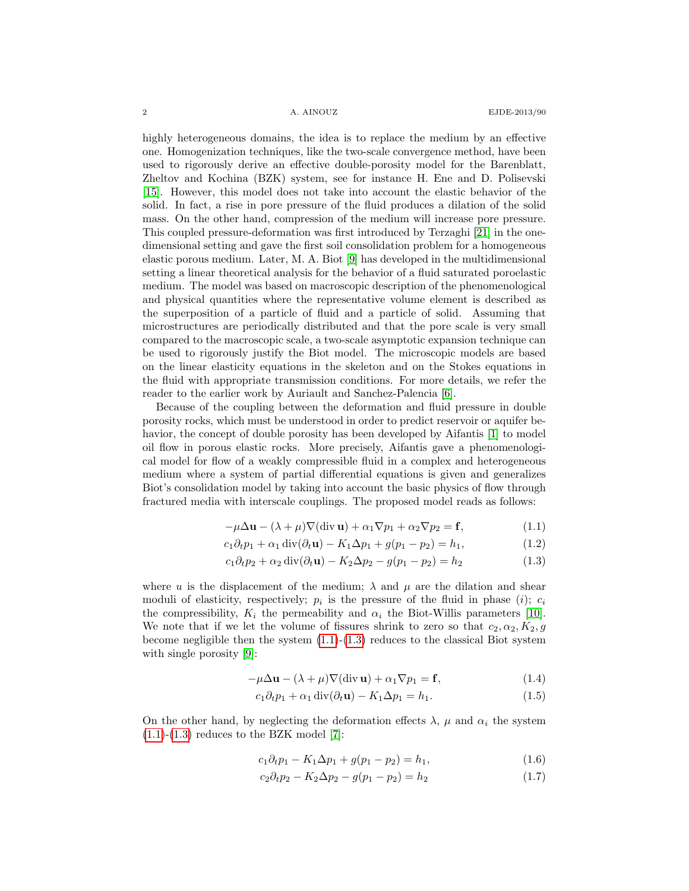highly heterogeneous domains, the idea is to replace the medium by an effective one. Homogenization techniques, like the two-scale convergence method, have been used to rigorously derive an effective double-porosity model for the Barenblatt, Zheltov and Kochina (BZK) system, see for instance H. Ene and D. Polisevski [\[15\]](#page-16-3). However, this model does not take into account the elastic behavior of the solid. In fact, a rise in pore pressure of the fluid produces a dilation of the solid mass. On the other hand, compression of the medium will increase pore pressure. This coupled pressure-deformation was first introduced by Terzaghi [\[21\]](#page-17-1) in the onedimensional setting and gave the first soil consolidation problem for a homogeneous elastic porous medium. Later, M. A. Biot [\[9\]](#page-16-4) has developed in the multidimensional setting a linear theoretical analysis for the behavior of a fluid saturated poroelastic medium. The model was based on macroscopic description of the phenomenological and physical quantities where the representative volume element is described as the superposition of a particle of fluid and a particle of solid. Assuming that microstructures are periodically distributed and that the pore scale is very small compared to the macroscopic scale, a two-scale asymptotic expansion technique can be used to rigorously justify the Biot model. The microscopic models are based on the linear elasticity equations in the skeleton and on the Stokes equations in the fluid with appropriate transmission conditions. For more details, we refer the reader to the earlier work by Auriault and Sanchez-Palencia [\[6\]](#page-16-5).

Because of the coupling between the deformation and fluid pressure in double porosity rocks, which must be understood in order to predict reservoir or aquifer behavior, the concept of double porosity has been developed by Aifantis [\[1\]](#page-16-6) to model oil flow in porous elastic rocks. More precisely, Aifantis gave a phenomenological model for flow of a weakly compressible fluid in a complex and heterogeneous medium where a system of partial differential equations is given and generalizes Biot's consolidation model by taking into account the basic physics of flow through fractured media with interscale couplings. The proposed model reads as follows:

<span id="page-1-3"></span><span id="page-1-2"></span>
$$
-\mu \Delta \mathbf{u} - (\lambda + \mu) \nabla (\text{div } \mathbf{u}) + \alpha_1 \nabla p_1 + \alpha_2 \nabla p_2 = \mathbf{f},
$$
\n(1.1)

$$
c_1 \partial_t p_1 + \alpha_1 \operatorname{div}(\partial_t \mathbf{u}) - K_1 \Delta p_1 + g(p_1 - p_2) = h_1,\tag{1.2}
$$

$$
c_1 \partial_t p_2 + \alpha_2 \operatorname{div}(\partial_t \mathbf{u}) - K_2 \Delta p_2 - g(p_1 - p_2) = h_2 \tag{1.3}
$$

where u is the displacement of the medium;  $\lambda$  and  $\mu$  are the dilation and shear moduli of elasticity, respectively;  $p_i$  is the pressure of the fluid in phase (*i*);  $c_i$ the compressibility,  $K_i$  the permeability and  $\alpha_i$  the Biot-Willis parameters [\[10\]](#page-16-7). We note that if we let the volume of fissures shrink to zero so that  $c_2, \alpha_2, K_2, g$ become negligible then the system  $(1.1)-(1.3)$  $(1.1)-(1.3)$  reduces to the classical Biot system with single porosity [\[9\]](#page-16-4):

$$
-\mu \Delta \mathbf{u} - (\lambda + \mu) \nabla (\text{div } \mathbf{u}) + \alpha_1 \nabla p_1 = \mathbf{f},
$$
\n(1.4)

<span id="page-1-5"></span><span id="page-1-4"></span>
$$
c_1 \partial_t p_1 + \alpha_1 \operatorname{div}(\partial_t \mathbf{u}) - K_1 \Delta p_1 = h_1. \tag{1.5}
$$

On the other hand, by neglecting the deformation effects  $\lambda$ ,  $\mu$  and  $\alpha_i$  the system  $(1.1)-(1.3)$  $(1.1)-(1.3)$  $(1.1)-(1.3)$  reduces to the BZK model [\[7\]](#page-16-2):

<span id="page-1-0"></span>
$$
c_1 \partial_t p_1 - K_1 \Delta p_1 + g(p_1 - p_2) = h_1,\tag{1.6}
$$

<span id="page-1-1"></span>
$$
c_2 \partial_t p_2 - K_2 \Delta p_2 - g(p_1 - p_2) = h_2 \tag{1.7}
$$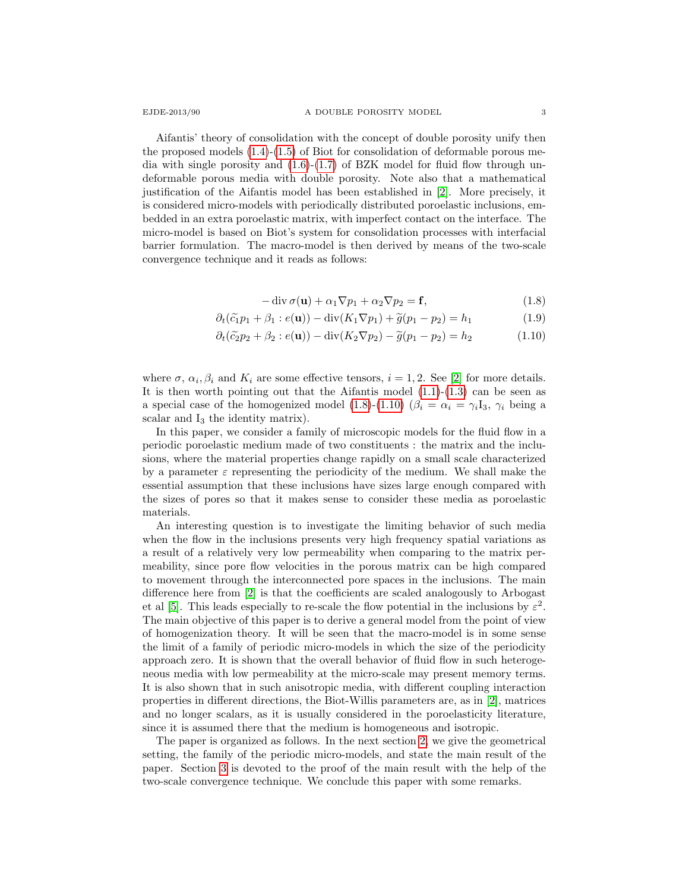Aifantis' theory of consolidation with the concept of double porosity unify then the proposed models  $(1.4)-(1.5)$  $(1.4)-(1.5)$  of Biot for consolidation of deformable porous media with single porosity and  $(1.6)-(1.7)$  $(1.6)-(1.7)$  of BZK model for fluid flow through undeformable porous media with double porosity. Note also that a mathematical justification of the Aifantis model has been established in [\[2\]](#page-16-8). More precisely, it is considered micro-models with periodically distributed poroelastic inclusions, embedded in an extra poroelastic matrix, with imperfect contact on the interface. The micro-model is based on Biot's system for consolidation processes with interfacial barrier formulation. The macro-model is then derived by means of the two-scale convergence technique and it reads as follows:

<span id="page-2-1"></span><span id="page-2-0"></span>
$$
-\operatorname{div}\sigma(\mathbf{u}) + \alpha_1 \nabla p_1 + \alpha_2 \nabla p_2 = \mathbf{f},\tag{1.8}
$$

$$
\partial_t(\tilde{c}_1 p_1 + \beta_1 : e(\mathbf{u})) - \text{div}(K_1 \nabla p_1) + \tilde{g}(p_1 - p_2) = h_1 \tag{1.9}
$$

$$
\partial_t(\tilde{c}_2p_2 + \beta_2 : e(\mathbf{u})) - \operatorname{div}(K_2 \nabla p_2) - \tilde{g}(p_1 - p_2) = h_2 \tag{1.10}
$$

where  $\sigma$ ,  $\alpha_i$ ,  $\beta_i$  and  $K_i$  are some effective tensors,  $i = 1, 2$ . See [\[2\]](#page-16-8) for more details. It is then worth pointing out that the Aifantis model  $(1.1)-(1.3)$  $(1.1)-(1.3)$  can be seen as a special case of the homogenized model [\(1.8\)](#page-2-0)-[\(1.10\)](#page-2-1) ( $\beta_i = \alpha_i = \gamma_i I_3$ ,  $\gamma_i$  being a scalar and  $I_3$  the identity matrix).

In this paper, we consider a family of microscopic models for the fluid flow in a periodic poroelastic medium made of two constituents : the matrix and the inclusions, where the material properties change rapidly on a small scale characterized by a parameter  $\varepsilon$  representing the periodicity of the medium. We shall make the essential assumption that these inclusions have sizes large enough compared with the sizes of pores so that it makes sense to consider these media as poroelastic materials.

An interesting question is to investigate the limiting behavior of such media when the flow in the inclusions presents very high frequency spatial variations as a result of a relatively very low permeability when comparing to the matrix permeability, since pore flow velocities in the porous matrix can be high compared to movement through the interconnected pore spaces in the inclusions. The main difference here from [\[2\]](#page-16-8) is that the coefficients are scaled analogously to Arbogast et al [\[5\]](#page-16-9). This leads especially to re-scale the flow potential in the inclusions by  $\varepsilon^2$ . The main objective of this paper is to derive a general model from the point of view of homogenization theory. It will be seen that the macro-model is in some sense the limit of a family of periodic micro-models in which the size of the periodicity approach zero. It is shown that the overall behavior of fluid flow in such heterogeneous media with low permeability at the micro-scale may present memory terms. It is also shown that in such anisotropic media, with different coupling interaction properties in different directions, the Biot-Willis parameters are, as in [\[2\]](#page-16-8), matrices and no longer scalars, as it is usually considered in the poroelasticity literature, since it is assumed there that the medium is homogeneous and isotropic.

The paper is organized as follows. In the next section [2,](#page-3-0) we give the geometrical setting, the family of the periodic micro-models, and state the main result of the paper. Section [3](#page-9-0) is devoted to the proof of the main result with the help of the two-scale convergence technique. We conclude this paper with some remarks.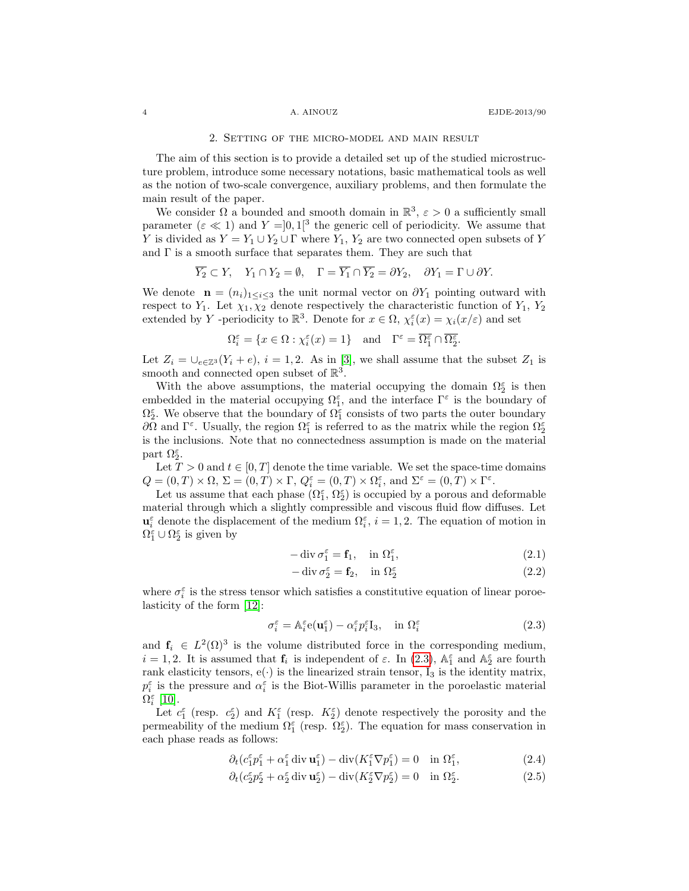## 2. Setting of the micro-model and main result

<span id="page-3-0"></span>The aim of this section is to provide a detailed set up of the studied microstructure problem, introduce some necessary notations, basic mathematical tools as well as the notion of two-scale convergence, auxiliary problems, and then formulate the main result of the paper.

We consider  $\Omega$  a bounded and smooth domain in  $\mathbb{R}^3$ ,  $\varepsilon > 0$  a sufficiently small parameter  $(\varepsilon \ll 1)$  and  $Y = ]0,1[^3$  the generic cell of periodicity. We assume that Y is divided as  $Y = Y_1 \cup Y_2 \cup \Gamma$  where  $Y_1, Y_2$  are two connected open subsets of Y and  $\Gamma$  is a smooth surface that separates them. They are such that

$$
\overline{Y_2} \subset Y, \quad Y_1 \cap Y_2 = \emptyset, \quad \Gamma = \overline{Y_1} \cap \overline{Y_2} = \partial Y_2, \quad \partial Y_1 = \Gamma \cup \partial Y.
$$

We denote  $\mathbf{n} = (n_i)_{1 \leq i \leq 3}$  the unit normal vector on  $\partial Y_1$  pointing outward with respect to  $Y_1$ . Let  $\chi_1, \chi_2$  denote respectively the characteristic function of  $Y_1, Y_2$ extended by Y -periodicity to  $\mathbb{R}^3$ . Denote for  $x \in \Omega$ ,  $\chi_i^{\varepsilon}(x) = \chi_i(x/\varepsilon)$  and set

$$
\Omega_i^\varepsilon=\{x\in\Omega:\chi_i^\varepsilon(x)=1\}\quad\text{and}\quad \Gamma^\varepsilon=\overline{\Omega_1^\varepsilon}\cap\overline{\Omega_2^\varepsilon}.
$$

Let  $Z_i = \bigcup_{e \in \mathbb{Z}^3}(Y_i + e), i = 1, 2$ . As in [\[3\]](#page-16-10), we shall assume that the subset  $Z_1$  is smooth and connected open subset of  $\mathbb{R}^3$ .

With the above assumptions, the material occupying the domain  $\Omega_2^{\varepsilon}$  is then embedded in the material occupying  $\Omega_1^{\varepsilon}$ , and the interface  $\Gamma^{\varepsilon}$  is the boundary of  $\Omega_2^{\varepsilon}$ . We observe that the boundary of  $\Omega_1^{\varepsilon}$  consists of two parts the outer boundary  $\partial\Omega$  and Γ<sup>ε</sup>. Usually, the region  $\Omega_1^{\varepsilon}$  is referred to as the matrix while the region  $\Omega_2^{\varepsilon}$ is the inclusions. Note that no connectedness assumption is made on the material part  $\Omega_2^{\varepsilon}$ .

Let  $T > 0$  and  $t \in [0, T]$  denote the time variable. We set the space-time domains  $Q = (0, T) \times \Omega$ ,  $\Sigma = (0, T) \times \Gamma$ ,  $Q_i^{\varepsilon} = (0, T) \times \Omega_i^{\varepsilon}$ , and  $\Sigma^{\varepsilon} = (0, T) \times \Gamma^{\varepsilon}$ .

Let us assume that each phase  $(\Omega_1^{\varepsilon}, \Omega_2^{\varepsilon})$  is occupied by a porous and deformable material through which a slightly compressible and viscous fluid flow diffuses. Let  $\mathbf{u}_i^{\varepsilon}$  denote the displacement of the medium  $\Omega_i^{\varepsilon}$ ,  $i = 1, 2$ . The equation of motion in  $\Omega_1^{\varepsilon} \cup \Omega_2^{\varepsilon}$  is given by

$$
-\operatorname{div}\sigma_1^{\varepsilon} = \mathbf{f}_1, \quad \text{in } \Omega_1^{\varepsilon}, \tag{2.1}
$$

<span id="page-3-3"></span><span id="page-3-2"></span>
$$
-\operatorname{div}\sigma_2^{\varepsilon} = \mathbf{f}_2, \quad \text{in } \Omega_2^{\varepsilon} \tag{2.2}
$$

where  $\sigma_i^{\varepsilon}$  is the stress tensor which satisfies a constitutive equation of linear poroelasticity of the form [\[12\]](#page-16-0):

<span id="page-3-5"></span><span id="page-3-4"></span><span id="page-3-1"></span>
$$
\sigma_i^{\varepsilon} = \mathbb{A}_i^{\varepsilon} \mathbf{e}(\mathbf{u}_1^{\varepsilon}) - \alpha_i^{\varepsilon} p_i^{\varepsilon} \mathbf{I}_3, \quad \text{in } \Omega_i^{\varepsilon}
$$
\n(2.3)

and  $f_i \in L^2(\Omega)^3$  is the volume distributed force in the corresponding medium,  $i = 1, 2$ . It is assumed that  $f_i$  is independent of  $\varepsilon$ . In [\(2.3\)](#page-3-1),  $\mathbb{A}_1^{\varepsilon}$  and  $\mathbb{A}_2^{\varepsilon}$  are fourth rank elasticity tensors,  $e(\cdot)$  is the linearized strain tensor,  $I_3$  is the identity matrix,  $p_i^{\varepsilon}$  is the pressure and  $\alpha_i^{\varepsilon}$  is the Biot-Willis parameter in the poroelastic material  $\Omega_i^{\varepsilon}$  [\[10\]](#page-16-7).

Let  $c_1^{\varepsilon}$  (resp.  $c_2^{\varepsilon}$ ) and  $K_1^{\varepsilon}$  (resp.  $K_2^{\varepsilon}$ ) denote respectively the porosity and the permeability of the medium  $\Omega_1^{\varepsilon}$  (resp.  $\Omega_2^{\varepsilon}$ ). The equation for mass conservation in each phase reads as follows:

$$
\partial_t (c_1^{\varepsilon} p_1^{\varepsilon} + \alpha_1^{\varepsilon} \operatorname{div} \mathbf{u}_1^{\varepsilon}) - \operatorname{div} (K_1^{\varepsilon} \nabla p_1^{\varepsilon}) = 0 \quad \text{in } \Omega_1^{\varepsilon}, \tag{2.4}
$$

$$
\partial_t (c_2^{\varepsilon} p_2^{\varepsilon} + \alpha_2^{\varepsilon} \operatorname{div} \mathbf{u}_2^{\varepsilon}) - \operatorname{div} (K_2^{\varepsilon} \nabla p_2^{\varepsilon}) = 0 \quad \text{in } \Omega_2^{\varepsilon}.
$$
 (2.5)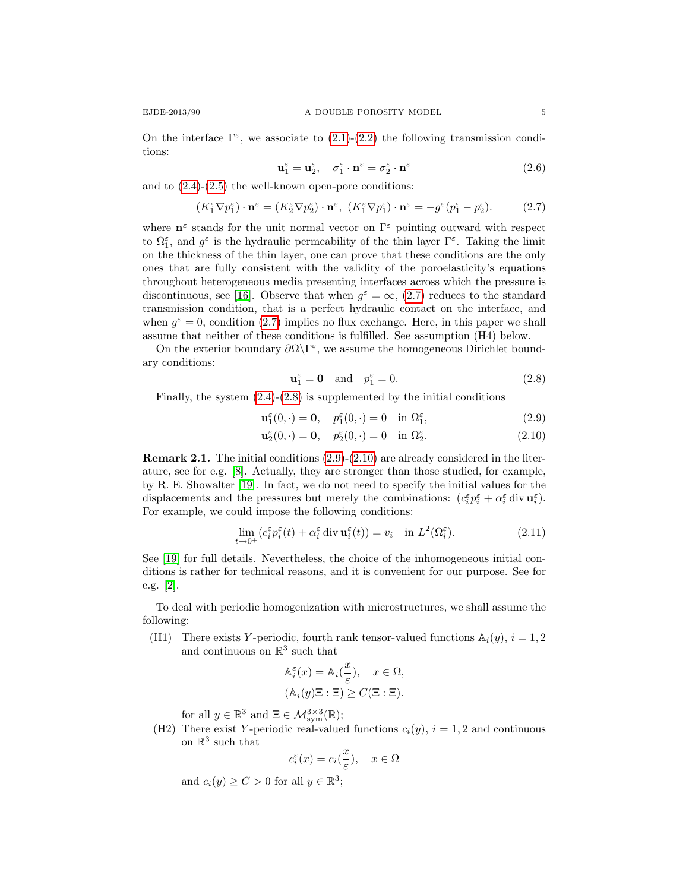<span id="page-4-4"></span>
$$
\mathbf{u}_1^{\varepsilon} = \mathbf{u}_2^{\varepsilon}, \quad \sigma_1^{\varepsilon} \cdot \mathbf{n}^{\varepsilon} = \sigma_2^{\varepsilon} \cdot \mathbf{n}^{\varepsilon}
$$
 (2.6)

and to  $(2.4)-(2.5)$  $(2.4)-(2.5)$  the well-known open-pore conditions:

<span id="page-4-0"></span>
$$
(K_1^{\varepsilon} \nabla p_1^{\varepsilon}) \cdot \mathbf{n}^{\varepsilon} = (K_2^{\varepsilon} \nabla p_2^{\varepsilon}) \cdot \mathbf{n}^{\varepsilon}, \ (K_1^{\varepsilon} \nabla p_1^{\varepsilon}) \cdot \mathbf{n}^{\varepsilon} = -g^{\varepsilon} (p_1^{\varepsilon} - p_2^{\varepsilon}). \tag{2.7}
$$

where  $\mathbf{n}^{\varepsilon}$  stands for the unit normal vector on  $\Gamma^{\varepsilon}$  pointing outward with respect to  $\Omega_1^{\varepsilon}$ , and  $g^{\varepsilon}$  is the hydraulic permeability of the thin layer  $\Gamma^{\varepsilon}$ . Taking the limit on the thickness of the thin layer, one can prove that these conditions are the only ones that are fully consistent with the validity of the poroelasticity's equations throughout heterogeneous media presenting interfaces across which the pressure is discontinuous, see [\[16\]](#page-16-11). Observe that when  $g^{\varepsilon} = \infty$ , [\(2.7\)](#page-4-0) reduces to the standard transmission condition, that is a perfect hydraulic contact on the interface, and when  $g^{\varepsilon} = 0$ , condition [\(2.7\)](#page-4-0) implies no flux exchange. Here, in this paper we shall assume that neither of these conditions is fulfilled. See assumption (H4) below.

On the exterior boundary  $\partial\Omega\backslash\Gamma^{\varepsilon}$ , we assume the homogeneous Dirichlet boundary conditions:

<span id="page-4-3"></span><span id="page-4-2"></span><span id="page-4-1"></span>
$$
\mathbf{u}_1^{\varepsilon} = \mathbf{0} \quad \text{and} \quad p_1^{\varepsilon} = 0. \tag{2.8}
$$

Finally, the system  $(2.4)-(2.8)$  $(2.4)-(2.8)$  is supplemented by the initial conditions

$$
\mathbf{u}_1^{\varepsilon}(0,\cdot) = \mathbf{0}, \quad p_1^{\varepsilon}(0,\cdot) = 0 \quad \text{in } \Omega_1^{\varepsilon}, \tag{2.9}
$$

$$
\mathbf{u}_2^{\varepsilon}(0,\cdot) = \mathbf{0}, \quad p_2^{\varepsilon}(0,\cdot) = 0 \quad \text{in } \Omega_2^{\varepsilon}.
$$
 (2.10)

Remark 2.1. The initial conditions [\(2.9\)](#page-4-2)-[\(2.10\)](#page-4-3) are already considered in the literature, see for e.g. [\[8\]](#page-16-12). Actually, they are stronger than those studied, for example, by R. E. Showalter [\[19\]](#page-16-13). In fact, we do not need to specify the initial values for the displacements and the pressures but merely the combinations:  $(c_i^{\varepsilon} p_i^{\varepsilon} + \alpha_i^{\varepsilon} \text{ div } \mathbf{u}_i^{\varepsilon})$ . For example, we could impose the following conditions:

$$
\lim_{t \to 0^+} (c_i^{\varepsilon} p_i^{\varepsilon}(t) + \alpha_i^{\varepsilon} \operatorname{div} \mathbf{u}_i^{\varepsilon}(t)) = v_i \quad \text{in } L^2(\Omega_i^{\varepsilon}). \tag{2.11}
$$

See [\[19\]](#page-16-13) for full details. Nevertheless, the choice of the inhomogeneous initial conditions is rather for technical reasons, and it is convenient for our purpose. See for e.g. [\[2\]](#page-16-8).

To deal with periodic homogenization with microstructures, we shall assume the following:

(H1) There exists Y-periodic, fourth rank tensor-valued functions  $\mathbb{A}_i(y)$ ,  $i = 1, 2$ and continuous on  $\mathbb{R}^3$  such that

$$
\mathbb{A}_{i}^{\varepsilon}(x) = \mathbb{A}_{i}(\frac{x}{\varepsilon}), \quad x \in \Omega,
$$
  

$$
(\mathbb{A}_{i}(y)\Xi : \Xi) \ge C(\Xi : \Xi).
$$

for all  $y \in \mathbb{R}^3$  and  $\Xi \in \mathcal{M}^{3 \times 3}_{sym}(\mathbb{R});$ 

(H2) There exist Y-periodic real-valued functions  $c_i(y)$ ,  $i = 1, 2$  and continuous on  $\mathbb{R}^3$  such that

$$
c_i^{\varepsilon}(x) = c_i(\frac{x}{\varepsilon}), \quad x \in \Omega
$$

and  $c_i(y) \ge C > 0$  for all  $y \in \mathbb{R}^3$ ;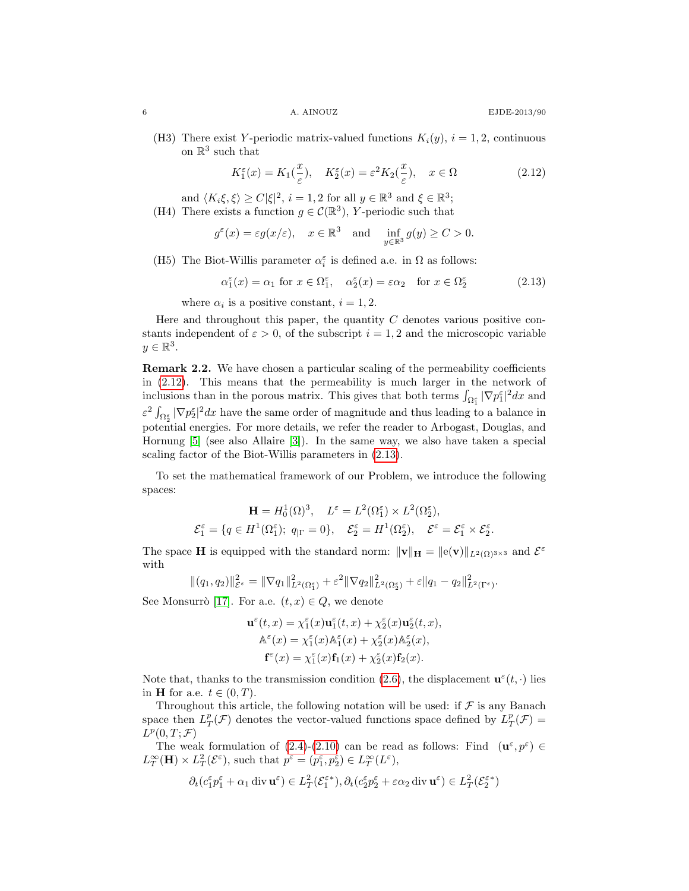(H3) There exist Y-periodic matrix-valued functions  $K_i(y)$ ,  $i = 1, 2$ , continuous on  $\mathbb{R}^3$  such that

<span id="page-5-0"></span>
$$
K_1^{\varepsilon}(x) = K_1(\frac{x}{\varepsilon}), \quad K_2^{\varepsilon}(x) = \varepsilon^2 K_2(\frac{x}{\varepsilon}), \quad x \in \Omega \tag{2.12}
$$

and  $\langle K_i \xi, \xi \rangle \ge C |\xi|^2$ ,  $i = 1, 2$  for all  $y \in \mathbb{R}^3$  and  $\xi \in \mathbb{R}^3$ ;

(H4) There exists a function 
$$
g \in \mathcal{C}(\mathbb{R}^3)
$$
, *Y*-periodic such that

$$
g^{\varepsilon}(x) = \varepsilon g(x/\varepsilon), \quad x \in \mathbb{R}^3 \text{ and } \inf_{y \in \mathbb{R}^3} g(y) \ge C > 0.
$$

(H5) The Biot-Willis parameter  $\alpha_i^\varepsilon$  is defined a.e. in  $\Omega$  as follows:

<span id="page-5-1"></span>
$$
\alpha_1^{\varepsilon}(x) = \alpha_1 \text{ for } x \in \Omega_1^{\varepsilon}, \quad \alpha_2^{\varepsilon}(x) = \varepsilon \alpha_2 \quad \text{for } x \in \Omega_2^{\varepsilon}
$$
 (2.13)

where  $\alpha_i$  is a positive constant,  $i = 1, 2$ .

Here and throughout this paper, the quantity  $C$  denotes various positive constants independent of  $\varepsilon > 0$ , of the subscript  $i = 1, 2$  and the microscopic variable  $y \in \mathbb{R}^3$ .

Remark 2.2. We have chosen a particular scaling of the permeability coefficients in [\(2.12\)](#page-5-0). This means that the permeability is much larger in the network of inclusions than in the porous matrix. This gives that both terms  $\int_{\Omega_1^{\varepsilon}} |\nabla p_1^{\varepsilon}|^2 dx$  and  $\epsilon^2 \int_{\Omega_2^{\epsilon}} |\nabla p_2^{\epsilon}|^2 dx$  have the same order of magnitude and thus leading to a balance in potential energies. For more details, we refer the reader to Arbogast, Douglas, and Hornung [\[5\]](#page-16-9) (see also Allaire [\[3\]](#page-16-10)). In the same way, we also have taken a special scaling factor of the Biot-Willis parameters in [\(2.13\)](#page-5-1).

To set the mathematical framework of our Problem, we introduce the following spaces:

$$
\mathbf{H} = H_0^1(\Omega)^3, \quad L^{\varepsilon} = L^2(\Omega_1^{\varepsilon}) \times L^2(\Omega_2^{\varepsilon}),
$$
  

$$
\mathcal{E}_1^{\varepsilon} = \{ q \in H^1(\Omega_1^{\varepsilon}); \ q_{|\Gamma} = 0 \}, \quad \mathcal{E}_2^{\varepsilon} = H^1(\Omega_2^{\varepsilon}), \quad \mathcal{E}^{\varepsilon} = \mathcal{E}_1^{\varepsilon} \times \mathcal{E}_2^{\varepsilon}.
$$

The space **H** is equipped with the standard norm:  $\|\mathbf{v}\|_{\mathbf{H}} = \|e(\mathbf{v})\|_{L^2(\Omega)^{3\times3}}$  and  $\mathcal{E}^{\varepsilon}$ with

$$
\|(q_1,q_2)\|_{\mathcal{E}^{\varepsilon}}^2 = \|\nabla q_1\|_{L^2(\Omega_1^{\varepsilon})}^2 + \varepsilon^2 \|\nabla q_2\|_{L^2(\Omega_2^{\varepsilon})}^2 + \varepsilon \|q_1 - q_2\|_{L^2(\Gamma^{\varepsilon})}^2.
$$

See Monsurrò [\[17\]](#page-16-14). For a.e.  $(t, x) \in Q$ , we denote

$$
\mathbf{u}^{\varepsilon}(t,x) = \chi_1^{\varepsilon}(x)\mathbf{u}_1^{\varepsilon}(t,x) + \chi_2^{\varepsilon}(x)\mathbf{u}_2^{\varepsilon}(t,x),
$$

$$
\mathbb{A}^{\varepsilon}(x) = \chi_1^{\varepsilon}(x)\mathbb{A}_1^{\varepsilon}(x) + \chi_2^{\varepsilon}(x)\mathbb{A}_2^{\varepsilon}(x),
$$

$$
\mathbf{f}^{\varepsilon}(x) = \chi_1^{\varepsilon}(x)\mathbf{f}_1(x) + \chi_2^{\varepsilon}(x)\mathbf{f}_2(x).
$$

Note that, thanks to the transmission condition [\(2.6\)](#page-4-4), the displacement  $\mathbf{u}^{\varepsilon}(t, \cdot)$  lies in **H** for a.e.  $t \in (0, T)$ .

Throughout this article, the following notation will be used: if  $\mathcal F$  is any Banach space then  $L^p_T(\mathcal{F})$  denotes the vector-valued functions space defined by  $L^p_T(\mathcal{F}) =$  $L^p(0,T;\mathcal{F})$ 

The weak formulation of  $(2.4)-(2.10)$  $(2.4)-(2.10)$  can be read as follows: Find  $(\mathbf{u}^{\varepsilon},p^{\varepsilon}) \in$  $L_T^{\infty}(\mathbf{H}) \times L_T^2(\mathcal{E}^{\varepsilon})$ , such that  $p^{\varepsilon} = (p_1^{\varepsilon}, p_2^{\varepsilon}) \in L_T^{\infty}(L^{\varepsilon})$ ,

$$
\partial_t (c_1^\varepsilon p_1^\varepsilon + \alpha_1 \operatorname{div} \mathbf{u}^\varepsilon) \in L^2_T(\mathcal{E}_1^{\varepsilon *}), \partial_t (c_2^\varepsilon p_2^\varepsilon + \varepsilon \alpha_2 \operatorname{div} \mathbf{u}^\varepsilon) \in L^2_T(\mathcal{E}_2^{\varepsilon *})
$$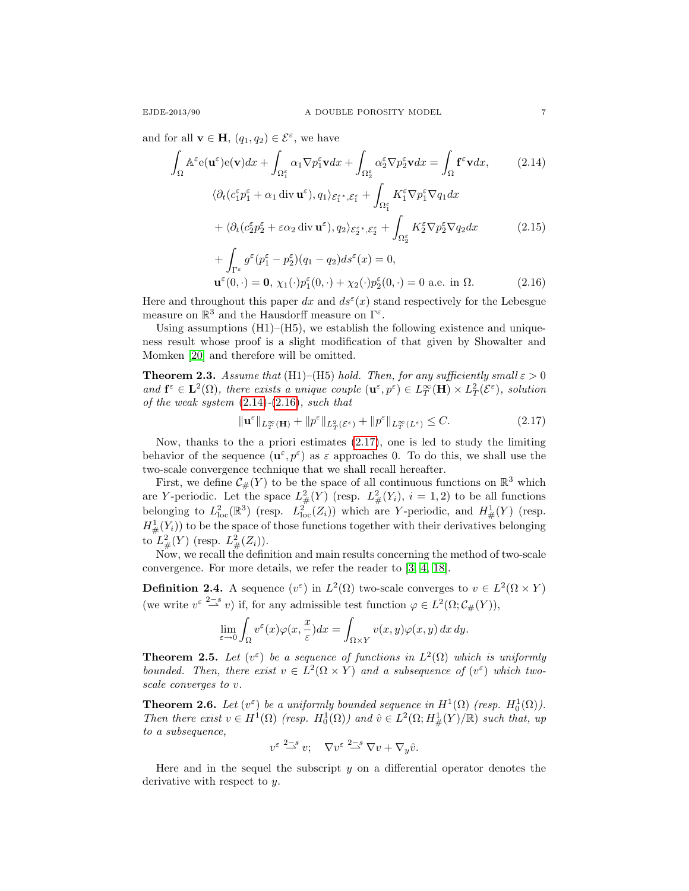and for all  $\mathbf{v} \in \mathbf{H}$ ,  $(q_1, q_2) \in \mathcal{E}^{\varepsilon}$ , we have

$$
\int_{\Omega} \mathbb{A}^{\varepsilon} e(\mathbf{u}^{\varepsilon}) e(\mathbf{v}) dx + \int_{\Omega_{1}^{\varepsilon}} \alpha_{1} \nabla p_{1}^{\varepsilon} \mathbf{v} dx + \int_{\Omega_{2}^{\varepsilon}} \alpha_{2}^{\varepsilon} \nabla p_{2}^{\varepsilon} \mathbf{v} dx = \int_{\Omega} \mathbf{f}^{\varepsilon} \mathbf{v} dx, \qquad (2.14)
$$
\n
$$
\langle \partial_{t} (c_{1}^{\varepsilon} p_{1}^{\varepsilon} + \alpha_{1} \operatorname{div} \mathbf{u}^{\varepsilon}), q_{1} \rangle_{\mathcal{E}_{1}^{\varepsilon *}, \mathcal{E}_{1}^{\varepsilon}} + \int_{\Omega_{1}^{\varepsilon}} K_{1}^{\varepsilon} \nabla p_{1}^{\varepsilon} \nabla q_{1} dx
$$
\n
$$
+ \langle \partial_{t} (c_{2}^{\varepsilon} p_{2}^{\varepsilon} + \varepsilon \alpha_{2} \operatorname{div} \mathbf{u}^{\varepsilon}), q_{2} \rangle_{\mathcal{E}_{2}^{\varepsilon *}, \mathcal{E}_{2}^{\varepsilon}} + \int_{\Omega_{2}^{\varepsilon}} K_{2}^{\varepsilon} \nabla p_{2}^{\varepsilon} \nabla q_{2} dx \qquad (2.15)
$$
\n
$$
+ \int_{\Omega} c^{\varepsilon} (c_{1}^{\varepsilon} - c_{1}^{\varepsilon}) (c_{1} - c_{1}) d c^{\varepsilon} (c_{1}^{\varepsilon}) = 0
$$

<span id="page-6-6"></span><span id="page-6-1"></span><span id="page-6-0"></span>+ 
$$
\int_{\Gamma^{\varepsilon}} g^{\varepsilon} (p_1^{\varepsilon} - p_2^{\varepsilon}) (q_1 - q_2) ds^{\varepsilon} (x) = 0,
$$
  
\n $\mathbf{u}^{\varepsilon} (0, \cdot) = \mathbf{0}, \ \chi_1(\cdot) p_1^{\varepsilon} (0, \cdot) + \chi_2(\cdot) p_2^{\varepsilon} (0, \cdot) = 0 \text{ a.e. in } \Omega.$  (2.16)

Here and throughout this paper dx and  $ds^{\varepsilon}(x)$  stand respectively for the Lebesgue measure on  $\mathbb{R}^3$  and the Hausdorff measure on  $\Gamma^{\varepsilon}$ .

Using assumptions  $(H1)$ – $(H5)$ , we establish the following existence and uniqueness result whose proof is a slight modification of that given by Showalter and Momken [\[20\]](#page-17-2) and therefore will be omitted.

**Theorem 2.3.** Assume that (H1)–(H5) hold. Then, for any sufficiently small  $\varepsilon > 0$ and  $\mathbf{f}^{\varepsilon} \in \mathbf{L}^{2}(\Omega)$ , there exists a unique couple  $(\mathbf{u}^{\varepsilon},p^{\varepsilon}) \in L_{T}^{\infty}(\mathbf{H}) \times L_{T}^{2}(\mathcal{E}^{\varepsilon})$ , solution of the weak system  $(2.14)-(2.16)$  $(2.14)-(2.16)$  $(2.14)-(2.16)$ , such that

<span id="page-6-2"></span>
$$
\|\mathbf{u}^{\varepsilon}\|_{L^{\infty}_{T}(\mathbf{H})} + \|p^{\varepsilon}\|_{L^{2}_{T}(\mathcal{E}^{\varepsilon})} + \|p^{\varepsilon}\|_{L^{\infty}_{T}(L^{\varepsilon})} \leq C.
$$
 (2.17)

Now, thanks to the a priori estimates [\(2.17\)](#page-6-2), one is led to study the limiting behavior of the sequence  $(\mathbf{u}^{\varepsilon}, p^{\varepsilon})$  as  $\varepsilon$  approaches 0. To do this, we shall use the two-scale convergence technique that we shall recall hereafter.

First, we define  $\mathcal{C}_{\#}(Y)$  to be the space of all continuous functions on  $\mathbb{R}^3$  which are Y-periodic. Let the space  $L^2_{\#}(Y)$  (resp.  $L^2_{\#}(Y_i)$ ,  $i = 1, 2$ ) to be all functions belonging to  $L^2_{\text{loc}}(\mathbb{R}^3)$  (resp.  $L^2_{\text{loc}}(Z_i)$ ) which are Y-periodic, and  $H^1_{\#}(Y)$  (resp.  $H^1_{\#}(Y_i)$  to be the space of those functions together with their derivatives belonging to  $L^2_{\#}(Y)$  (resp.  $L^2_{\#}(Z_i)$ ).

Now, we recall the definition and main results concerning the method of two-scale convergence. For more details, we refer the reader to [\[3,](#page-16-10) [4,](#page-16-15) [18\]](#page-16-16).

<span id="page-6-5"></span>**Definition 2.4.** A sequence  $(v^{\varepsilon})$  in  $L^2(\Omega)$  two-scale converges to  $v \in L^2(\Omega \times Y)$ (we write  $v^{\varepsilon} \stackrel{2-s}{\longrightarrow} v$ ) if, for any admissible test function  $\varphi \in L^2(\Omega; C_{\#}(Y)),$ 

$$
\lim_{\varepsilon \to 0} \int_{\Omega} v^{\varepsilon}(x) \varphi(x, \frac{x}{\varepsilon}) dx = \int_{\Omega \times Y} v(x, y) \varphi(x, y) dx dy.
$$

<span id="page-6-3"></span>**Theorem 2.5.** Let  $(v^{\varepsilon})$  be a sequence of functions in  $L^2(\Omega)$  which is uniformly bounded. Then, there exist  $v \in L^2(\Omega \times Y)$  and a subsequence of  $(v^{\varepsilon})$  which twoscale converges to v.

**Theorem 2.6.** Let  $(v^{\varepsilon})$  be a uniformly bounded sequence in  $H^1(\Omega)$  (resp.  $H_0^1(\Omega)$ ). Then there exist  $v \in H^1(\Omega)$  (resp.  $H_0^1(\Omega)$ ) and  $\hat{v} \in L^2(\Omega; H^1_{\#}(Y)/\mathbb{R})$  such that, up to a subsequence,

$$
v^{\varepsilon} \stackrel{2-s}{\rightharpoonup} v; \quad \nabla v^{\varepsilon} \stackrel{2-s}{\rightharpoonup} \nabla v + \nabla_y \hat{v}.
$$

<span id="page-6-4"></span>Here and in the sequel the subscript  $y$  on a differential operator denotes the derivative with respect to y.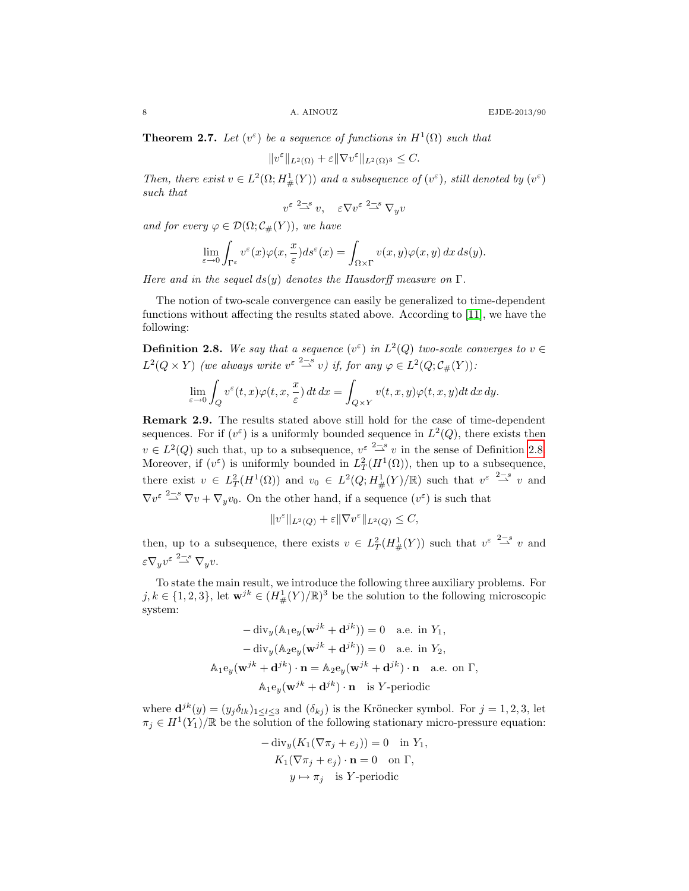**Theorem 2.7.** Let  $(v^{\varepsilon})$  be a sequence of functions in  $H^1(\Omega)$  such that

$$
||v^{\varepsilon}||_{L^{2}(\Omega)} + \varepsilon ||\nabla v^{\varepsilon}||_{L^{2}(\Omega)^{3}} \leq C.
$$

Then, there exist  $v \in L^2(\Omega; H^1_{\#}(Y))$  and a subsequence of  $(v^{\varepsilon})$ , still denoted by  $(v^{\varepsilon})$ such that

$$
v^{\varepsilon} \stackrel{2-s}{\rightharpoonup} v, \quad \varepsilon \nabla v^{\varepsilon} \stackrel{2-s}{\rightharpoonup} \nabla_y v
$$

and for every  $\varphi \in \mathcal{D}(\Omega; \mathcal{C}_{\#}(Y)),$  we have

$$
\lim_{\varepsilon \to 0} \int_{\Gamma^{\varepsilon}} v^{\varepsilon}(x) \varphi(x, \frac{x}{\varepsilon}) ds^{\varepsilon}(x) = \int_{\Omega \times \Gamma} v(x, y) \varphi(x, y) dx ds(y).
$$

Here and in the sequel ds(y) denotes the Hausdorff measure on  $\Gamma$ .

The notion of two-scale convergence can easily be generalized to time-dependent functions without affecting the results stated above. According to [\[11\]](#page-16-17), we have the following:

<span id="page-7-0"></span>**Definition 2.8.** We say that a sequence  $(v^{\varepsilon})$  in  $L^2(Q)$  two-scale converges to  $v \in$  $L^2(Q \times Y)$  (we always write  $v^{\varepsilon} \stackrel{2-s}{\longrightarrow} v$ ) if, for any  $\varphi \in L^2(Q; C_{\#}(Y))$ :

$$
\lim_{\varepsilon \to 0} \int_Q v^{\varepsilon}(t, x) \varphi(t, x, \frac{x}{\varepsilon}) dt dx = \int_{Q \times Y} v(t, x, y) \varphi(t, x, y) dt dx dy.
$$

Remark 2.9. The results stated above still hold for the case of time-dependent sequences. For if  $(v^{\varepsilon})$  is a uniformly bounded sequence in  $L^2(Q)$ , there exists then  $v \in L^2(Q)$  such that, up to a subsequence,  $v^{\varepsilon} \stackrel{2-s}{\rightharpoonup} v$  in the sense of Definition [2.8.](#page-7-0) Moreover, if  $(v^{\varepsilon})$  is uniformly bounded in  $L^2_T(H^1(\Omega))$ , then up to a subsequence, there exist  $v \in L^2_T(H^1(\Omega))$  and  $v_0 \in L^2(Q; H^1_{\#}(Y)/\mathbb{R})$  such that  $v^{\varepsilon} \stackrel{2-s}{\rightharpoonup} v$  and  $\nabla v^{\varepsilon} \stackrel{2-s}{\rightharpoonup} \nabla v + \nabla_y v_0$ . On the other hand, if a sequence  $(v^{\varepsilon})$  is such that

$$
||v^{\varepsilon}||_{L^{2}(Q)} + \varepsilon ||\nabla v^{\varepsilon}||_{L^{2}(Q)} \leq C,
$$

then, up to a subsequence, there exists  $v \in L^2_T(H^1_{\#}(Y))$  such that  $v^{\varepsilon} \stackrel{2-s}{\rightharpoonup} v$  and  $\varepsilon \nabla_y v^{\varepsilon} \stackrel{2-s}{\rightharpoonup} \nabla_y v.$ 

To state the main result, we introduce the following three auxiliary problems. For  $j, k \in \{1, 2, 3\}$ , let  $\mathbf{w}^{jk} \in (H^1_{\#}(Y)/\mathbb{R})^3$  be the solution to the following microscopic system:

$$
-\operatorname{div}_y(\mathbb{A}_1 \mathbf{e}_y(\mathbf{w}^{jk} + \mathbf{d}^{jk})) = 0 \quad \text{a.e. in } Y_1,
$$
  
\n
$$
-\operatorname{div}_y(\mathbb{A}_2 \mathbf{e}_y(\mathbf{w}^{jk} + \mathbf{d}^{jk})) = 0 \quad \text{a.e. in } Y_2,
$$
  
\n
$$
\mathbb{A}_1 \mathbf{e}_y(\mathbf{w}^{jk} + \mathbf{d}^{jk}) \cdot \mathbf{n} = \mathbb{A}_2 \mathbf{e}_y(\mathbf{w}^{jk} + \mathbf{d}^{jk}) \cdot \mathbf{n} \quad \text{a.e. on } \Gamma,
$$
  
\n
$$
\mathbb{A}_1 \mathbf{e}_y(\mathbf{w}^{jk} + \mathbf{d}^{jk}) \cdot \mathbf{n} \quad \text{is } Y \text{-periodic}
$$

where  $\mathbf{d}^{jk}(y) = (y_j \delta_{lk})_{1 \leq l \leq 3}$  and  $(\delta_{kj})$  is the Krönecker symbol. For  $j = 1, 2, 3$ , let  $\pi_j \in H^1(Y_1)/\mathbb{R}$  be the solution of the following stationary micro-pressure equation:

$$
-\operatorname{div}_y(K_1(\nabla \pi_j + e_j)) = 0 \text{ in } Y_1,
$$
  
\n
$$
K_1(\nabla \pi_j + e_j) \cdot \mathbf{n} = 0 \text{ on } \Gamma,
$$
  
\n
$$
y \mapsto \pi_j \text{ is } Y\text{-periodic}
$$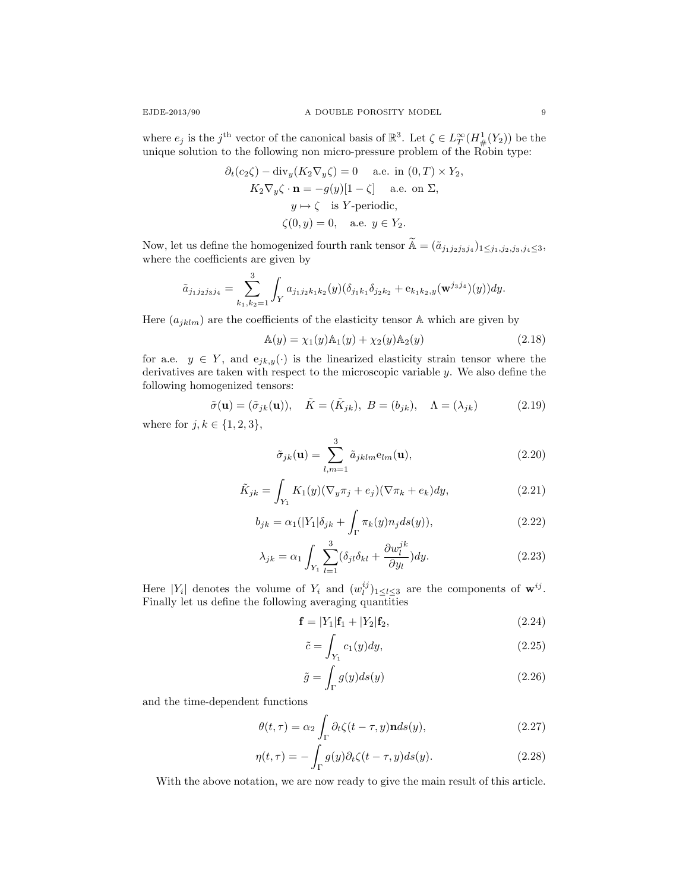$$
\partial_t(c_2\zeta) - \text{div}_y(K_2\nabla_y\zeta) = 0 \quad \text{a.e. in } (0, T) \times Y_2,
$$
  
\n
$$
K_2\nabla_y\zeta \cdot \mathbf{n} = -g(y)[1-\zeta] \quad \text{a.e. on } \Sigma,
$$
  
\n
$$
y \mapsto \zeta \quad \text{is } Y\text{-periodic},
$$
  
\n
$$
\zeta(0, y) = 0, \quad \text{a.e. } y \in Y_2.
$$

Now, let us define the homogenized fourth rank tensor  $\widetilde{A} = (\widetilde{a}_{j_1 j_2 j_3 j_4})_{1 \leq j_1, j_2, j_3, j_4 \leq 3}$ , where the coefficients are given by

$$
\tilde{a}_{j_1j_2j_3j_4} = \sum_{k_1,k_2=1}^3 \int_Y a_{j_1j_2k_1k_2}(y) (\delta_{j_1k_1}\delta_{j_2k_2} + e_{k_1k_2,y}(\mathbf{w}^{j_3j_4})(y))dy.
$$

Here  $\left(a_{jklm}\right)$  are the coefficients of the elasticity tensor A which are given by

<span id="page-8-2"></span>
$$
\mathbb{A}(y) = \chi_1(y)\mathbb{A}_1(y) + \chi_2(y)\mathbb{A}_2(y)
$$
\n(2.18)

for a.e.  $y \in Y$ , and  $e_{jk,y}(\cdot)$  is the linearized elasticity strain tensor where the derivatives are taken with respect to the microscopic variable y. We also define the following homogenized tensors:

<span id="page-8-0"></span>
$$
\tilde{\sigma}(\mathbf{u}) = (\tilde{\sigma}_{jk}(\mathbf{u})), \quad \tilde{K} = (\tilde{K}_{jk}), \quad B = (b_{jk}), \quad \Lambda = (\lambda_{jk})
$$
\n(2.19)

where for  $j, k \in \{1, 2, 3\},\$ 

$$
\tilde{\sigma}_{jk}(\mathbf{u}) = \sum_{l,m=1}^{3} \tilde{a}_{jklm} \mathbf{e}_{lm}(\mathbf{u}),
$$
\n(2.20)

$$
\tilde{K}_{jk} = \int_{Y_1} K_1(y)(\nabla_y \pi_j + e_j)(\nabla \pi_k + e_k)dy,
$$
\n(2.21)

$$
b_{jk} = \alpha_1(|Y_1|\delta_{jk} + \int_{\Gamma} \pi_k(y)n_j ds(y)),\tag{2.22}
$$

$$
\lambda_{jk} = \alpha_1 \int_{Y_1} \sum_{l=1}^3 (\delta_{jl} \delta_{kl} + \frac{\partial w_l^{jk}}{\partial y_l}) dy.
$$
 (2.23)

Here |Y<sub>i</sub>| denotes the volume of Y<sub>i</sub> and  $(w_l^{ij})_{1 \leq l \leq 3}$  are the components of  $\mathbf{w}^{ij}$ . Finally let us define the following averaging quantities

$$
\mathbf{f} = |Y_1|\mathbf{f}_1 + |Y_2|\mathbf{f}_2,\tag{2.24}
$$

<span id="page-8-3"></span>
$$
\tilde{c} = \int_{Y_1} c_1(y) dy,\tag{2.25}
$$

<span id="page-8-1"></span>
$$
\tilde{g} = \int_{\Gamma} g(y) ds(y) \tag{2.26}
$$

and the time-dependent functions

$$
\theta(t,\tau) = \alpha_2 \int_{\Gamma} \partial_t \zeta(t-\tau,y) \mathbf{n} ds(y), \qquad (2.27)
$$

$$
\eta(t,\tau) = -\int_{\Gamma} g(y)\partial_t \zeta(t-\tau,y)ds(y). \tag{2.28}
$$

<span id="page-8-4"></span>With the above notation, we are now ready to give the main result of this article.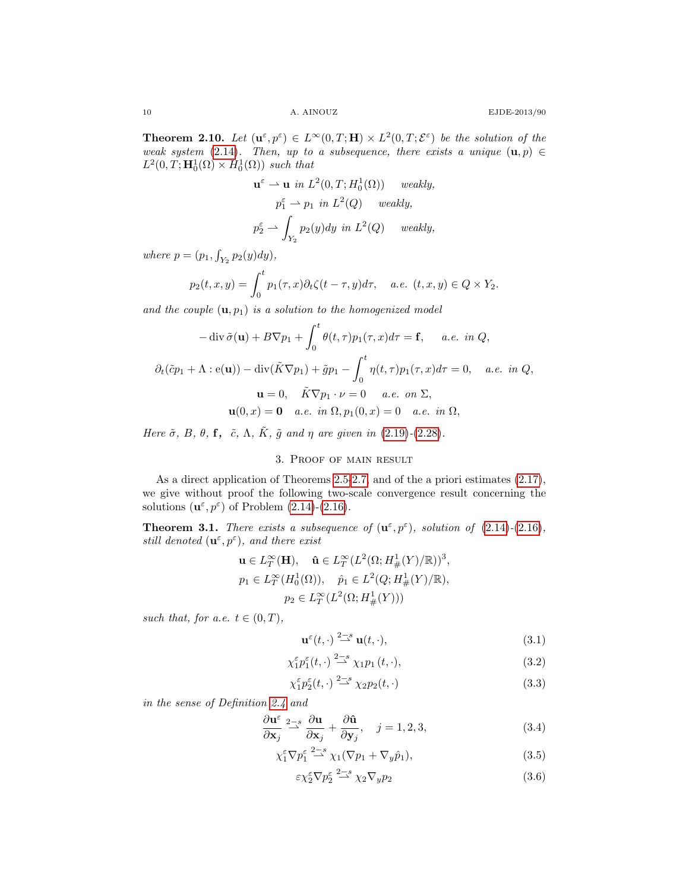**Theorem 2.10.** Let  $(\mathbf{u}^{\varepsilon}, p^{\varepsilon}) \in L^{\infty}(0,T; \mathbf{H}) \times L^2(0,T; \mathcal{E}^{\varepsilon})$  be the solution of the weak system [\(2.14\)](#page-6-0). Then, up to a subsequence, there exists a unique  $(\mathbf{u}, p) \in$  $L^2(0,T; \mathbf{H}_0^1(\Omega) \times H_0^1(\Omega))$  such that

$$
\mathbf{u}^{\varepsilon} \rightharpoonup \mathbf{u} \text{ in } L^{2}(0, T; H_{0}^{1}(\Omega)) \text{ weakly,}
$$
  
\n
$$
p_{1}^{\varepsilon} \rightharpoonup p_{1} \text{ in } L^{2}(Q) \text{ weakly,}
$$
  
\n
$$
p_{2}^{\varepsilon} \rightharpoonup \int_{Y_{2}} p_{2}(y) dy \text{ in } L^{2}(Q) \text{ weakly,}
$$

where  $p = (p_1, \int_{Y_2} p_2(y) dy),$ 

$$
p_2(t, x, y) = \int_0^t p_1(\tau, x) \partial_t \zeta(t - \tau, y) d\tau, \quad a.e. \ (t, x, y) \in Q \times Y_2.
$$

and the couple  $(\mathbf{u}, p_1)$  is a solution to the homogenized model

$$
-\operatorname{div}\tilde{\sigma}(\mathbf{u}) + B\nabla p_1 + \int_0^t \theta(t,\tau)p_1(\tau,x)d\tau = \mathbf{f}, \quad a.e. \text{ in } Q,
$$
  

$$
\partial_t(\tilde{c}p_1 + \Lambda : \mathbf{e}(\mathbf{u})) - \operatorname{div}(\tilde{K}\nabla p_1) + \tilde{g}p_1 - \int_0^t \eta(t,\tau)p_1(\tau,x)d\tau = 0, \quad a.e. \text{ in } Q,
$$
  

$$
\mathbf{u} = 0, \quad \tilde{K}\nabla p_1 \cdot \nu = 0 \quad a.e. \text{ on } \Sigma,
$$
  

$$
\mathbf{u}(0,x) = \mathbf{0} \quad a.e. \text{ in } \Omega, p_1(0,x) = 0 \quad a.e. \text{ in } \Omega,
$$

Here  $\tilde{\sigma}$ , B,  $\theta$ , f,  $\tilde{c}$ ,  $\Lambda$ ,  $\tilde{K}$ ,  $\tilde{g}$  and  $\eta$  are given in [\(2.19\)](#page-8-0)-[\(2.28\)](#page-8-1).

## 3. Proof of main result

<span id="page-9-0"></span>As a direct application of Theorems [2.5-](#page-6-3)[2.7,](#page-6-4) and of the a priori estimates [\(2.17\)](#page-6-2), we give without proof the following two-scale convergence result concerning the solutions  $(\mathbf{u}^{\varepsilon}, p^{\varepsilon})$  of Problem [\(2.14\)](#page-6-0)-[\(2.16\)](#page-6-1).

**Theorem 3.1.** There exists a subsequence of  $(\mathbf{u}^{\varepsilon}, p^{\varepsilon})$ , solution of  $(2.14)-(2.16)$  $(2.14)-(2.16)$  $(2.14)-(2.16)$ , still denoted  $(\mathbf{u}^{\varepsilon}, p^{\varepsilon})$ , and there exist

$$
\mathbf{u} \in L_T^{\infty}(\mathbf{H}), \quad \hat{\mathbf{u}} \in L_T^{\infty}(L^2(\Omega; H^1_{\#}(Y)/\mathbb{R}))^3,
$$
  
\n
$$
p_1 \in L_T^{\infty}(H_0^1(\Omega)), \quad \hat{p}_1 \in L^2(Q; H^1_{\#}(Y)/\mathbb{R}),
$$
  
\n
$$
p_2 \in L_T^{\infty}(L^2(\Omega; H^1_{\#}(Y)))
$$

such that, for a.e.  $t \in (0, T)$ ,

<span id="page-9-5"></span><span id="page-9-4"></span>
$$
\mathbf{u}^{\varepsilon}(t,\cdot) \stackrel{2-s}{\rightharpoonup} \mathbf{u}(t,\cdot),\tag{3.1}
$$

$$
\chi_1^{\varepsilon} p_1^{\varepsilon}(t,\cdot) \stackrel{2-s}{\rightharpoonup} \chi_1 p_1(t,\cdot),\tag{3.2}
$$

<span id="page-9-1"></span>
$$
\chi_1^{\varepsilon} p_2^{\varepsilon}(t, \cdot) \stackrel{2-s}{\rightharpoonup} \chi_2 p_2(t, \cdot) \tag{3.3}
$$

in the sense of Definition [2.4](#page-6-5) and

$$
\frac{\partial \mathbf{u}^{\varepsilon}}{\partial \mathbf{x}_j} \stackrel{2-s}{\rightarrow} \frac{\partial \mathbf{u}}{\partial \mathbf{x}_j} + \frac{\partial \hat{\mathbf{u}}}{\partial \mathbf{y}_j}, \quad j = 1, 2, 3,
$$
\n(3.4)

$$
\chi_1^{\varepsilon} \nabla p_1^{\varepsilon} \stackrel{2-s}{\rightharpoonup} \chi_1(\nabla p_1 + \nabla_y \hat{p}_1),\tag{3.5}
$$

<span id="page-9-3"></span><span id="page-9-2"></span>
$$
\varepsilon \chi_2^{\varepsilon} \nabla p_2^{\varepsilon} \stackrel{2-s}{\rightharpoonup} \chi_2 \nabla_y p_2 \tag{3.6}
$$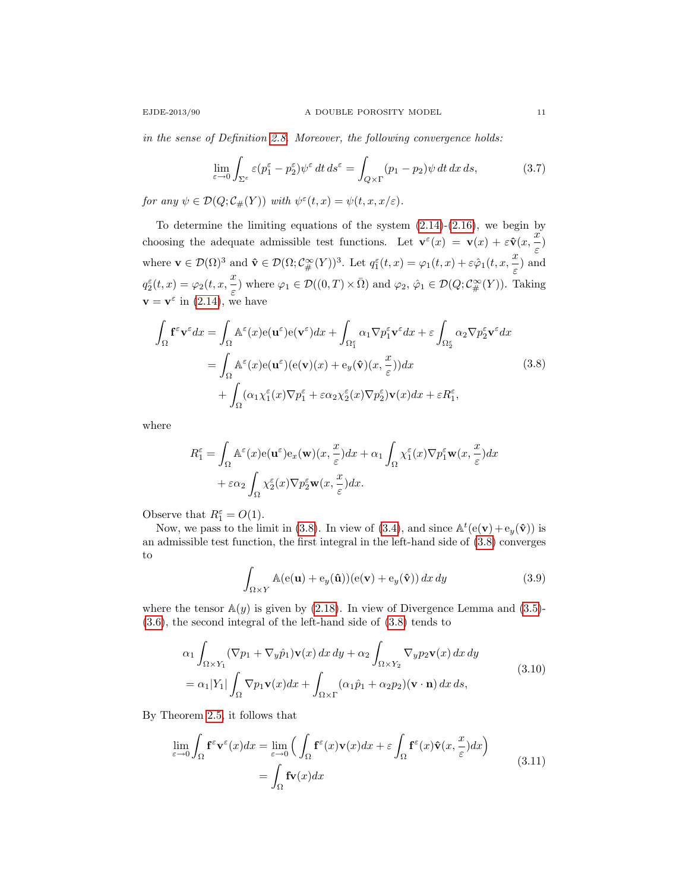in the sense of Definition [2.8.](#page-7-0) Moreover, the following convergence holds:

<span id="page-10-3"></span>
$$
\lim_{\varepsilon \to 0} \int_{\Sigma^{\varepsilon}} \varepsilon (p_1^{\varepsilon} - p_2^{\varepsilon}) \psi^{\varepsilon} dt ds^{\varepsilon} = \int_{Q \times \Gamma} (p_1 - p_2) \psi dt dx ds, \tag{3.7}
$$

for any  $\psi \in \mathcal{D}(Q; \mathcal{C}_{\#}(Y))$  with  $\psi^{\varepsilon}(t,x) = \psi(t,x,x/\varepsilon)$ .

To determine the limiting equations of the system  $(2.14)-(2.16)$  $(2.14)-(2.16)$ , we begin by choosing the adequate admissible test functions. Let  $\mathbf{v}^{\varepsilon}(x) = \mathbf{v}(x) + \varepsilon \hat{\mathbf{v}}(x, \frac{x}{x})$  $\frac{\pi}{\varepsilon})$ where  $\mathbf{v} \in \mathcal{D}(\Omega)^3$  and  $\hat{\mathbf{v}} \in \mathcal{D}(\Omega; \mathcal{C}^\infty_\#(Y))^3$ . Let  $q_1^\varepsilon(t,x) = \varphi_1(t,x) + \varepsilon \hat{\varphi}_1(t,x, \frac{x}{\varepsilon})$  $\frac{\infty}{\varepsilon}$  and  $q_2^{\varepsilon}(t,x) = \varphi_2(t,x,\frac{x}{\varepsilon})$  $\frac{\partial \mathcal{L}}{\partial \varepsilon}$  where  $\varphi_1 \in \mathcal{D}((0,T) \times \overline{\Omega})$  and  $\varphi_2, \hat{\varphi}_1 \in \mathcal{D}(Q; \mathcal{C}^{\infty}_{\#}(Y))$ . Taking  $\mathbf{v} = \mathbf{v}^{\varepsilon}$  in [\(2.14\)](#page-6-0), we have ε

<span id="page-10-0"></span>
$$
\int_{\Omega} \mathbf{f}^{\varepsilon} \mathbf{v}^{\varepsilon} dx = \int_{\Omega} \mathbb{A}^{\varepsilon}(x) e(\mathbf{u}^{\varepsilon}) e(\mathbf{v}^{\varepsilon}) dx + \int_{\Omega_{1}^{\varepsilon}} \alpha_{1} \nabla p_{1}^{\varepsilon} \mathbf{v}^{\varepsilon} dx + \varepsilon \int_{\Omega_{2}^{\varepsilon}} \alpha_{2} \nabla p_{2}^{\varepsilon} \mathbf{v}^{\varepsilon} dx \n= \int_{\Omega} \mathbb{A}^{\varepsilon}(x) e(\mathbf{u}^{\varepsilon}) (e(\mathbf{v})(x) + e_{y}(\hat{\mathbf{v}})(x, \frac{x}{\varepsilon})) dx \n+ \int_{\Omega} (\alpha_{1} \chi_{1}^{\varepsilon}(x) \nabla p_{1}^{\varepsilon} + \varepsilon \alpha_{2} \chi_{2}^{\varepsilon}(x) \nabla p_{2}^{\varepsilon}) \mathbf{v}(x) dx + \varepsilon R_{1}^{\varepsilon},
$$
\n(3.8)

where

$$
R_1^{\varepsilon} = \int_{\Omega} \mathbb{A}^{\varepsilon}(x) e(\mathbf{u}^{\varepsilon}) e_x(\mathbf{w})(x, \frac{x}{\varepsilon}) dx + \alpha_1 \int_{\Omega} \chi_1^{\varepsilon}(x) \nabla p_1^{\varepsilon} \mathbf{w}(x, \frac{x}{\varepsilon}) dx + \varepsilon \alpha_2 \int_{\Omega} \chi_2^{\varepsilon}(x) \nabla p_2^{\varepsilon} \mathbf{w}(x, \frac{x}{\varepsilon}) dx.
$$

Observe that  $R_1^{\varepsilon} = O(1)$ .

Now, we pass to the limit in [\(3.8\)](#page-10-0). In view of [\(3.4\)](#page-9-1), and since  $\mathbb{A}^t(\mathbf{e}(\mathbf{v}) + \mathbf{e}_y(\hat{\mathbf{v}}))$  is an admissible test function, the first integral in the left-hand side of [\(3.8\)](#page-10-0) converges to

<span id="page-10-1"></span>
$$
\int_{\Omega \times Y} \mathbb{A}(\mathbf{e}(\mathbf{u}) + \mathbf{e}_y(\hat{\mathbf{u}}))(\mathbf{e}(\mathbf{v}) + \mathbf{e}_y(\hat{\mathbf{v}})) dx dy
$$
\n(3.9)

where the tensor  $\mathbb{A}(y)$  is given by [\(2.18\)](#page-8-2). In view of Divergence Lemma and [\(3.5\)](#page-9-2)-[\(3.6\)](#page-9-3), the second integral of the left-hand side of [\(3.8\)](#page-10-0) tends to

$$
\alpha_1 \int_{\Omega \times Y_1} (\nabla p_1 + \nabla_y \hat{p}_1) \mathbf{v}(x) dx dy + \alpha_2 \int_{\Omega \times Y_2} \nabla_y p_2 \mathbf{v}(x) dx dy \n= \alpha_1 |Y_1| \int_{\Omega} \nabla p_1 \mathbf{v}(x) dx + \int_{\Omega \times \Gamma} (\alpha_1 \hat{p}_1 + \alpha_2 p_2) (\mathbf{v} \cdot \mathbf{n}) dx ds,
$$
\n(3.10)

By Theorem [2.5,](#page-6-3) it follows that

<span id="page-10-2"></span>
$$
\lim_{\varepsilon \to 0} \int_{\Omega} \mathbf{f}^{\varepsilon} \mathbf{v}^{\varepsilon}(x) dx = \lim_{\varepsilon \to 0} \left( \int_{\Omega} \mathbf{f}^{\varepsilon}(x) \mathbf{v}(x) dx + \varepsilon \int_{\Omega} \mathbf{f}^{\varepsilon}(x) \hat{\mathbf{v}}(x, \frac{x}{\varepsilon}) dx \right)
$$
\n
$$
= \int_{\Omega} \mathbf{f} \mathbf{v}(x) dx \tag{3.11}
$$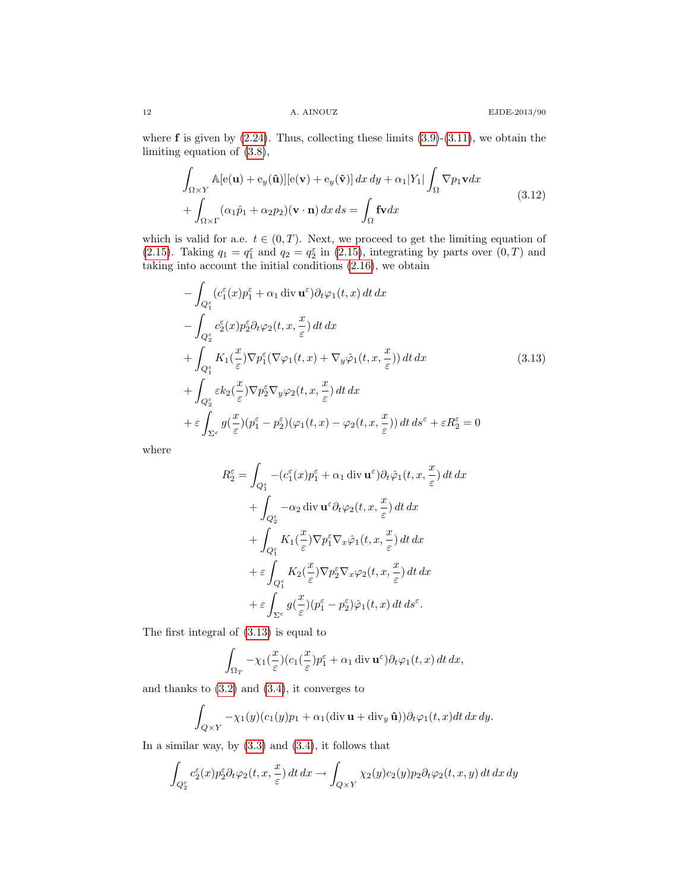where  $f$  is given by  $(2.24)$ . Thus, collecting these limits  $(3.9)-(3.11)$  $(3.9)-(3.11)$ , we obtain the limiting equation of [\(3.8\)](#page-10-0),

<span id="page-11-1"></span>
$$
\int_{\Omega \times Y} \mathbb{A}[\mathbf{e}(\mathbf{u}) + \mathbf{e}_y(\hat{\mathbf{u}})][\mathbf{e}(\mathbf{v}) + \mathbf{e}_y(\hat{\mathbf{v}})] dx dy + \alpha_1 |Y_1| \int_{\Omega} \nabla p_1 \mathbf{v} dx \n+ \int_{\Omega \times \Gamma} (\alpha_1 \hat{p}_1 + \alpha_2 p_2)(\mathbf{v} \cdot \mathbf{n}) dx ds = \int_{\Omega} \mathbf{f} \mathbf{v} dx
$$
\n(3.12)

which is valid for a.e.  $t \in (0, T)$ . Next, we proceed to get the limiting equation of [\(2.15\)](#page-6-6). Taking  $q_1 = q_1^{\varepsilon}$  and  $q_2 = q_2^{\varepsilon}$  in [\(2.15\)](#page-6-6), integrating by parts over  $(0, T)$  and taking into account the initial conditions [\(2.16\)](#page-6-1), we obtain

<span id="page-11-0"></span>
$$
-\int_{Q_1^{\varepsilon}} (c_1^{\varepsilon}(x)p_1^{\varepsilon} + \alpha_1 \operatorname{div} \mathbf{u}^{\varepsilon}) \partial_t \varphi_1(t, x) dt dx \n- \int_{Q_2^{\varepsilon}} c_2^{\varepsilon}(x)p_2^{\varepsilon} \partial_t \varphi_2(t, x, \frac{x}{\varepsilon}) dt dx \n+ \int_{Q_1^{\varepsilon}} K_1(\frac{x}{\varepsilon}) \nabla p_1^{\varepsilon} (\nabla \varphi_1(t, x) + \nabla_y \varphi_1(t, x, \frac{x}{\varepsilon})) dt dx \n+ \int_{Q_2^{\varepsilon}} \varepsilon k_2(\frac{x}{\varepsilon}) \nabla p_2^{\varepsilon} \nabla_y \varphi_2(t, x, \frac{x}{\varepsilon}) dt dx \n+ \varepsilon \int_{\Sigma^{\varepsilon}} g(\frac{x}{\varepsilon}) (p_1^{\varepsilon} - p_2^{\varepsilon}) (\varphi_1(t, x) - \varphi_2(t, x, \frac{x}{\varepsilon})) dt ds^{\varepsilon} + \varepsilon R_2^{\varepsilon} = 0
$$
\n(3.13)

where

$$
R_2^{\varepsilon} = \int_{Q_1^{\varepsilon}} -(c_1^{\varepsilon}(x)p_1^{\varepsilon} + \alpha_1 \operatorname{div} \mathbf{u}^{\varepsilon}) \partial_t \hat{\varphi}_1(t, x, \frac{x}{\varepsilon}) dt dx + \int_{Q_2^{\varepsilon}} -\alpha_2 \operatorname{div} \mathbf{u}^{\varepsilon} \partial_t \varphi_2(t, x, \frac{x}{\varepsilon}) dt dx + \int_{Q_1^{\varepsilon}} K_1(\frac{x}{\varepsilon}) \nabla p_1^{\varepsilon} \nabla_x \hat{\varphi}_1(t, x, \frac{x}{\varepsilon}) dt dx + \varepsilon \int_{Q_1^{\varepsilon}} K_2(\frac{x}{\varepsilon}) \nabla p_2^{\varepsilon} \nabla_x \varphi_2(t, x, \frac{x}{\varepsilon}) dt dx + \varepsilon \int_{\Sigma^{\varepsilon}} g(\frac{x}{\varepsilon}) (p_1^{\varepsilon} - p_2^{\varepsilon}) \hat{\varphi}_1(t, x) dt ds^{\varepsilon}.
$$

The first integral of [\(3.13\)](#page-11-0) is equal to

$$
\int_{\Omega_T} -\chi_1(\frac{x}{\varepsilon}) (c_1(\frac{x}{\varepsilon}) p_1^{\varepsilon} + \alpha_1 \operatorname{div} \mathbf{u}^{\varepsilon}) \partial_t \varphi_1(t, x) dt dx,
$$

and thanks to [\(3.2\)](#page-9-4) and [\(3.4\)](#page-9-1), it converges to

$$
\int_{Q\times Y} -\chi_1(y)(c_1(y)p_1+\alpha_1(\text{div }\mathbf{u}+\text{div}_y\,\hat{\mathbf{u}}))\partial_t\varphi_1(t,x)dt\,dx\,dy.
$$

In a similar way, by  $(3.3)$  and  $(3.4)$ , it follows that

$$
\int_{Q_2^{\varepsilon}} c_2^{\varepsilon}(x) p_2^{\varepsilon} \partial_t \varphi_2(t, x, \frac{x}{\varepsilon}) dt dx \to \int_{Q \times Y} \chi_2(y) c_2(y) p_2 \partial_t \varphi_2(t, x, y) dt dx dy
$$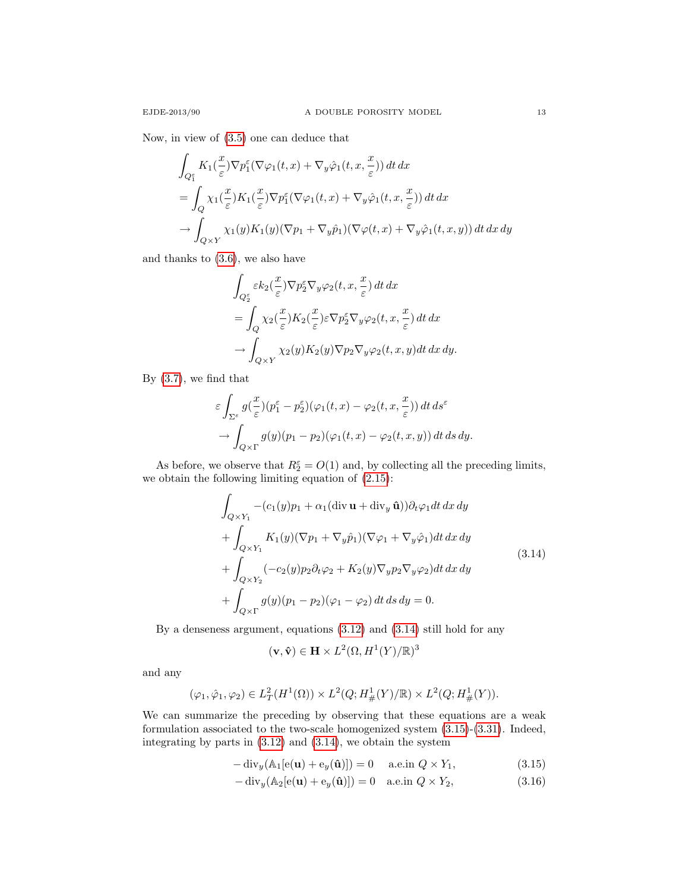Now, in view of [\(3.5\)](#page-9-2) one can deduce that

$$
\int_{Q_1^{\varepsilon}} K_1(\frac{x}{\varepsilon}) \nabla p_1^{\varepsilon} (\nabla \varphi_1(t, x) + \nabla_y \hat{\varphi}_1(t, x, \frac{x}{\varepsilon})) dt dx
$$
\n
$$
= \int_Q \chi_1(\frac{x}{\varepsilon}) K_1(\frac{x}{\varepsilon}) \nabla p_1^{\varepsilon} (\nabla \varphi_1(t, x) + \nabla_y \hat{\varphi}_1(t, x, \frac{x}{\varepsilon})) dt dx
$$
\n
$$
\to \int_{Q \times Y} \chi_1(y) K_1(y) (\nabla p_1 + \nabla_y \hat{p}_1) (\nabla \varphi(t, x) + \nabla_y \hat{\varphi}_1(t, x, y)) dt dx dy
$$

and thanks to [\(3.6\)](#page-9-3), we also have

$$
\int_{Q_2^{\varepsilon}} \varepsilon k_2(\frac{x}{\varepsilon}) \nabla p_2^{\varepsilon} \nabla_y \varphi_2(t, x, \frac{x}{\varepsilon}) dt dx \n= \int_Q \chi_2(\frac{x}{\varepsilon}) K_2(\frac{x}{\varepsilon}) \varepsilon \nabla p_2^{\varepsilon} \nabla_y \varphi_2(t, x, \frac{x}{\varepsilon}) dt dx \n\to \int_{Q \times Y} \chi_2(y) K_2(y) \nabla p_2 \nabla_y \varphi_2(t, x, y) dt dx dy.
$$

By [\(3.7\)](#page-10-3), we find that

$$
\varepsilon \int_{\Sigma^{\varepsilon}} g(\frac{x}{\varepsilon})(p_1^{\varepsilon} - p_2^{\varepsilon})(\varphi_1(t, x) - \varphi_2(t, x, \frac{x}{\varepsilon})) dt ds^{\varepsilon} \n\to \int_{Q \times \Gamma} g(y)(p_1 - p_2)(\varphi_1(t, x) - \varphi_2(t, x, y)) dt ds dy.
$$

As before, we observe that  $R_2^{\varepsilon} = O(1)$  and, by collecting all the preceding limits, we obtain the following limiting equation of [\(2.15\)](#page-6-6):

<span id="page-12-0"></span>
$$
\int_{Q\times Y_1} -(c_1(y)p_1 + \alpha_1(\text{div }\mathbf{u} + \text{div }_{y}\hat{\mathbf{u}}))\partial_t\varphi_1 dt dx dy
$$
\n
$$
+ \int_{Q\times Y_1} K_1(y)(\nabla p_1 + \nabla_y \hat{p}_1)(\nabla \varphi_1 + \nabla_y \hat{\varphi}_1) dt dx dy
$$
\n
$$
+ \int_{Q\times Y_2} (-c_2(y)p_2\partial_t\varphi_2 + K_2(y)\nabla_y p_2\nabla_y \varphi_2) dt dx dy
$$
\n
$$
+ \int_{Q\times \Gamma} g(y)(p_1 - p_2)(\varphi_1 - \varphi_2) dt ds dy = 0.
$$
\n(3.14)

By a denseness argument, equations [\(3.12\)](#page-11-1) and [\(3.14\)](#page-12-0) still hold for any

<span id="page-12-2"></span><span id="page-12-1"></span>
$$
(\mathbf{v}, \hat{\mathbf{v}}) \in \mathbf{H} \times L^2(\Omega, H^1(Y)/\mathbb{R})^3
$$

and any

$$
(\varphi_1, \hat{\varphi}_1, \varphi_2) \in L^2_T(H^1(\Omega)) \times L^2(Q; H^1_{\#}(Y)/\mathbb{R}) \times L^2(Q; H^1_{\#}(Y)).
$$

We can summarize the preceding by observing that these equations are a weak formulation associated to the two-scale homogenized system [\(3.15\)](#page-12-1)-[\(3.31\)](#page-13-0). Indeed, integrating by parts in [\(3.12\)](#page-11-1) and [\(3.14\)](#page-12-0), we obtain the system

$$
-\operatorname{div}_y(\mathbb{A}_1[\mathbf{e}(\mathbf{u}) + \mathbf{e}_y(\hat{\mathbf{u}})]) = 0 \quad \text{a.e.in } Q \times Y_1,
$$
\n(3.15)

$$
-\operatorname{div}_y(\mathbb{A}_2[\mathbf{e}(\mathbf{u}) + \mathbf{e}_y(\hat{\mathbf{u}})]) = 0 \quad \text{a.e.in } Q \times Y_2,
$$
\n(3.16)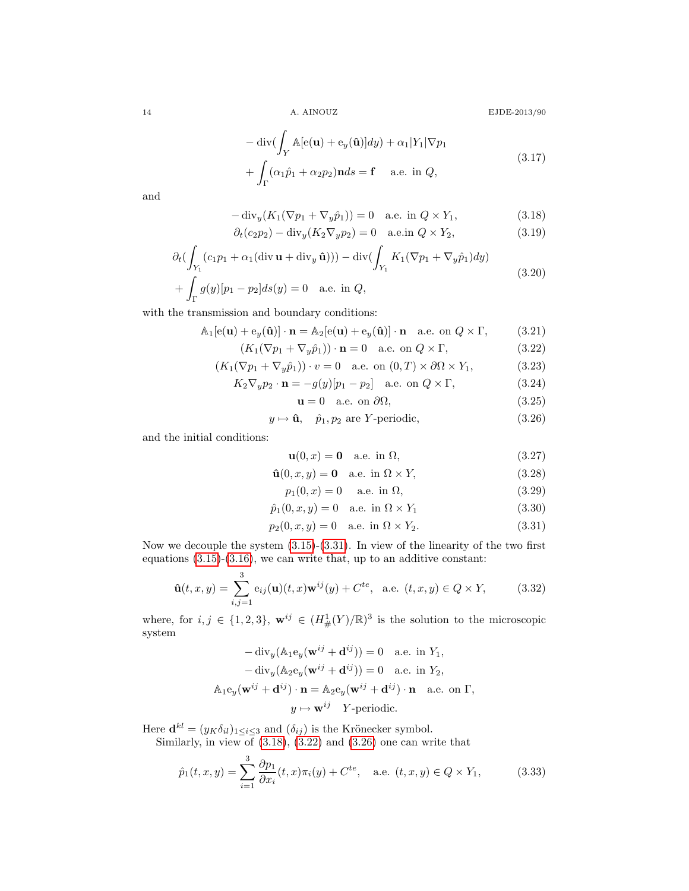<span id="page-13-1"></span>

 $$\textrm{\texttt{14}}$$  A. AINOUZ  $$\textrm{\texttt{EJDE-2013/90}}$$ 

$$
-\operatorname{div}\left(\int_{Y} \mathbb{A}[\mathbf{e}(\mathbf{u}) + \mathbf{e}_{y}(\hat{\mathbf{u}})]dy\right) + \alpha_{1}|Y_{1}|\nabla p_{1}
$$
  
+ 
$$
\int_{\Gamma} (\alpha_{1}\hat{p}_{1} + \alpha_{2}p_{2})\mathbf{n}ds = \mathbf{f} \quad \text{a.e. in } Q,
$$
 (3.17)

and

$$
-\operatorname{div}_y(K_1(\nabla p_1 + \nabla_y \hat{p}_1)) = 0 \quad \text{a.e. in } Q \times Y_1,
$$
\n(3.18)

$$
\partial_t (c_2 p_2) - \text{div}_y (K_2 \nabla_y p_2) = 0 \quad \text{a.e. in } Q \times Y_2,
$$
\n(3.19)

$$
\partial_t \left( \int_{Y_1} (c_1 p_1 + \alpha_1 (\operatorname{div} \mathbf{u} + \operatorname{div}_y \hat{\mathbf{u}})) \right) - \operatorname{div} \left( \int_{Y_1} K_1 (\nabla p_1 + \nabla_y \hat{p}_1) dy \right) + \int_{\Gamma} g(y) [p_1 - p_2] ds(y) = 0 \quad \text{a.e. in } Q,
$$
\n(3.20)

with the transmission and boundary conditions:

$$
\mathbb{A}_1[\mathbf{e}(\mathbf{u}) + \mathbf{e}_y(\hat{\mathbf{u}})] \cdot \mathbf{n} = \mathbb{A}_2[\mathbf{e}(\mathbf{u}) + \mathbf{e}_y(\hat{\mathbf{u}})] \cdot \mathbf{n} \quad \text{a.e. on } Q \times \Gamma,
$$
 (3.21)

$$
(K_1(\nabla p_1 + \nabla_y \hat{p}_1)) \cdot \mathbf{n} = 0 \quad \text{a.e. on } Q \times \Gamma,
$$
\n(3.22)

$$
(K_1(\nabla p_1 + \nabla_y \hat{p}_1)) \cdot v = 0 \quad \text{a.e. on } (0, T) \times \partial \Omega \times Y_1,
$$
 (3.23)

$$
K_2 \nabla_y p_2 \cdot \mathbf{n} = -g(y)[p_1 - p_2] \quad \text{a.e. on } Q \times \Gamma,
$$
 (3.24)

<span id="page-13-3"></span><span id="page-13-2"></span> $u = 0$  a.e. on  $\partial\Omega$ , (3.25)

$$
y \mapsto \hat{\mathbf{u}}, \quad \hat{p}_1, p_2 \text{ are } Y \text{-periodic}, \tag{3.26}
$$

and the initial conditions:

<span id="page-13-0"></span>
$$
\mathbf{u}(0,x) = \mathbf{0} \quad \text{a.e. in } \Omega,\tag{3.27}
$$

$$
\hat{\mathbf{u}}(0, x, y) = \mathbf{0} \quad \text{a.e. in } \Omega \times Y,
$$
\n(3.28)

$$
p_1(0, x) = 0
$$
 a.e. in  $\Omega$ , (3.29)

$$
\hat{p}_1(0, x, y) = 0 \quad \text{a.e. in } \Omega \times Y_1 \tag{3.30}
$$

$$
p_2(0, x, y) = 0
$$
 a.e. in  $\Omega \times Y_2$ . (3.31)

Now we decouple the system [\(3.15\)](#page-12-1)-[\(3.31\)](#page-13-0). In view of the linearity of the two first equations  $(3.15)-(3.16)$  $(3.15)-(3.16)$ , we can write that, up to an additive constant:

<span id="page-13-4"></span>
$$
\hat{\mathbf{u}}(t,x,y) = \sum_{i,j=1}^{3} e_{ij}(\mathbf{u})(t,x)\mathbf{w}^{ij}(y) + C^{te}, \text{ a.e. } (t,x,y) \in Q \times Y,
$$
 (3.32)

where, for  $i, j \in \{1, 2, 3\}$ ,  $\mathbf{w}^{ij} \in (H^1_{\#}(Y)/\mathbb{R})^3$  is the solution to the microscopic system

$$
-\operatorname{div}_y(\mathbb{A}_1 \mathbf{e}_y(\mathbf{w}^{ij} + \mathbf{d}^{ij})) = 0 \quad \text{a.e. in } Y_1,
$$
  
\n
$$
-\operatorname{div}_y(\mathbb{A}_2 \mathbf{e}_y(\mathbf{w}^{ij} + \mathbf{d}^{ij})) = 0 \quad \text{a.e. in } Y_2,
$$
  
\n
$$
\mathbb{A}_1 \mathbf{e}_y(\mathbf{w}^{ij} + \mathbf{d}^{ij}) \cdot \mathbf{n} = \mathbb{A}_2 \mathbf{e}_y(\mathbf{w}^{ij} + \mathbf{d}^{ij}) \cdot \mathbf{n} \quad \text{a.e. on } \Gamma,
$$
  
\n
$$
y \mapsto \mathbf{w}^{ij} \quad Y\text{-periodic.}
$$

Here  $\mathbf{d}^{kl} = (y_K \delta_{il})_{1 \leq i \leq 3}$  and  $(\delta_{ij})$  is the Krönecker symbol.

Similarly, in view of [\(3.18\)](#page-13-1), [\(3.22\)](#page-13-2) and [\(3.26\)](#page-13-3) one can write that

<span id="page-13-5"></span>
$$
\hat{p}_1(t, x, y) = \sum_{i=1}^3 \frac{\partial p_1}{\partial x_i}(t, x)\pi_i(y) + C^{te}, \quad \text{a.e. } (t, x, y) \in Q \times Y_1,
$$
\n(3.33)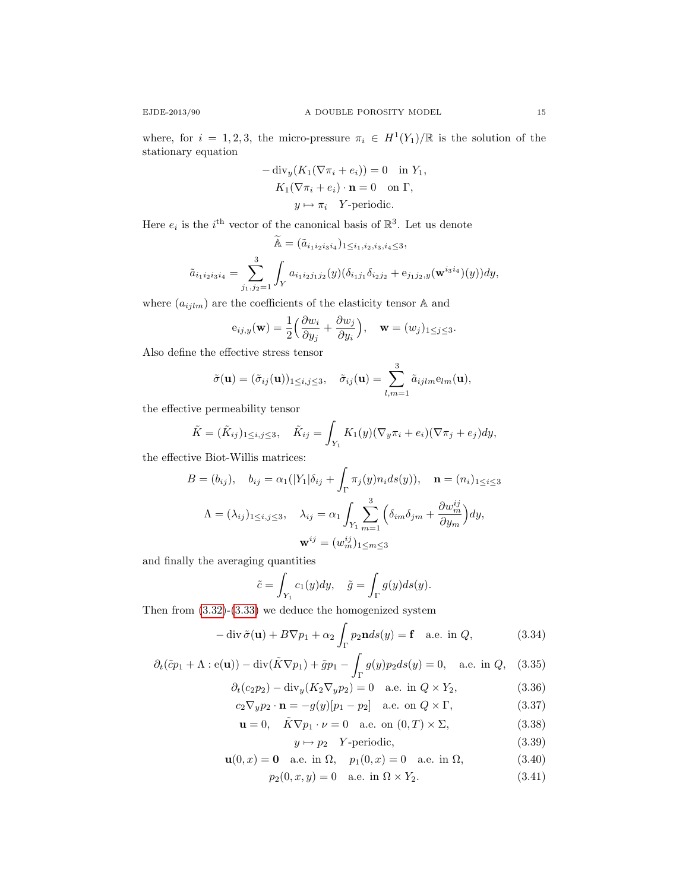$$
-\operatorname{div}_y(K_1(\nabla \pi_i + e_i)) = 0 \text{ in } Y_1,
$$
  
\n
$$
K_1(\nabla \pi_i + e_i) \cdot \mathbf{n} = 0 \text{ on } \Gamma,
$$
  
\n
$$
y \mapsto \pi_i \quad Y\text{-periodic.}
$$

Here  $e_i$  is the *i*<sup>th</sup> vector of the canonical basis of  $\mathbb{R}^3$ . Let us denote

$$
\widetilde{\mathbb{A}} = (\widetilde{a}_{i_1 i_2 i_3 i_4})_{1 \le i_1, i_2, i_3, i_4 \le 3},
$$
  

$$
\widetilde{a}_{i_1 i_2 i_3 i_4} = \sum_{j_1, j_2=1}^3 \int_Y a_{i_1 i_2 j_1 j_2}(y) (\delta_{i_1 j_1} \delta_{i_2 j_2} + e_{j_1 j_2, y}(\mathbf{w}^{i_3 i_4})(y)) dy,
$$

where  $(a_{ijlm})$  are the coefficients of the elasticity tensor  $\mathbb A$  and

$$
e_{ij,y}(\mathbf{w}) = \frac{1}{2} \left( \frac{\partial w_i}{\partial y_j} + \frac{\partial w_j}{\partial y_i} \right), \quad \mathbf{w} = (w_j)_{1 \leq j \leq 3}.
$$

Also define the effective stress tensor

$$
\tilde{\sigma}(\mathbf{u}) = (\tilde{\sigma}_{ij}(\mathbf{u}))_{1 \leq i,j \leq 3}, \quad \tilde{\sigma}_{ij}(\mathbf{u}) = \sum_{l,m=1}^3 \tilde{a}_{ijlm} e_{lm}(\mathbf{u}),
$$

the effective permeability tensor

$$
\tilde{K} = (\tilde{K}_{ij})_{1 \leq i,j \leq 3}, \quad \tilde{K}_{ij} = \int_{Y_1} K_1(y) (\nabla_y \pi_i + e_i) (\nabla \pi_j + e_j) dy,
$$

the effective Biot-Willis matrices:

$$
B = (b_{ij}), \quad b_{ij} = \alpha_1(|Y_1|\delta_{ij} + \int_{\Gamma} \pi_j(y)n_i ds(y)), \quad \mathbf{n} = (n_i)_{1 \le i \le 3}
$$

$$
\Lambda = (\lambda_{ij})_{1 \le i,j \le 3}, \quad \lambda_{ij} = \alpha_1 \int_{Y_1} \sum_{m=1}^3 \left( \delta_{im} \delta_{jm} + \frac{\partial w_m^{ij}}{\partial y_m} \right) dy,
$$

$$
\mathbf{w}^{ij} = (w_m^{ij})_{1 \le m \le 3}
$$

and finally the averaging quantities

$$
\tilde{c} = \int_{Y_1} c_1(y) dy, \quad \tilde{g} = \int_{\Gamma} g(y) ds(y).
$$

Then from [\(3.32\)](#page-13-4)-[\(3.33\)](#page-13-5) we deduce the homogenized system

$$
-\operatorname{div}\tilde{\sigma}(\mathbf{u}) + B\nabla p_1 + \alpha_2 \int_{\Gamma} p_2 \mathbf{n} ds(y) = \mathbf{f} \quad \text{a.e. in } Q,\tag{3.34}
$$

$$
\partial_t(\tilde{c}p_1 + \Lambda : \mathbf{e}(\mathbf{u})) - \operatorname{div}(\tilde{K}\nabla p_1) + \tilde{g}p_1 - \int_{\Gamma} g(y)p_2 ds(y) = 0, \quad \text{a.e. in } Q,\tag{3.35}
$$

$$
\partial_t (c_2 p_2) - \text{div}_y (K_2 \nabla_y p_2) = 0 \quad \text{a.e. in } Q \times Y_2,
$$
\n(3.36)

$$
c_2 \nabla_y p_2 \cdot \mathbf{n} = -g(y)[p_1 - p_2] \quad \text{a.e. on } Q \times \Gamma,
$$
\n(3.37)

$$
\mathbf{u} = 0, \quad \tilde{K} \nabla p_1 \cdot \nu = 0 \quad \text{a.e. on } (0, T) \times \Sigma,
$$
 (3.38)

<span id="page-14-1"></span><span id="page-14-0"></span>
$$
y \mapsto p_2 \quad Y \text{-periodic}, \tag{3.39}
$$

$$
\mathbf{u}(0,x) = \mathbf{0} \quad \text{a.e. in } \Omega, \quad p_1(0,x) = 0 \quad \text{a.e. in } \Omega,\tag{3.40}
$$

$$
p_2(0, x, y) = 0
$$
 a.e. in  $\Omega \times Y_2$ . (3.41)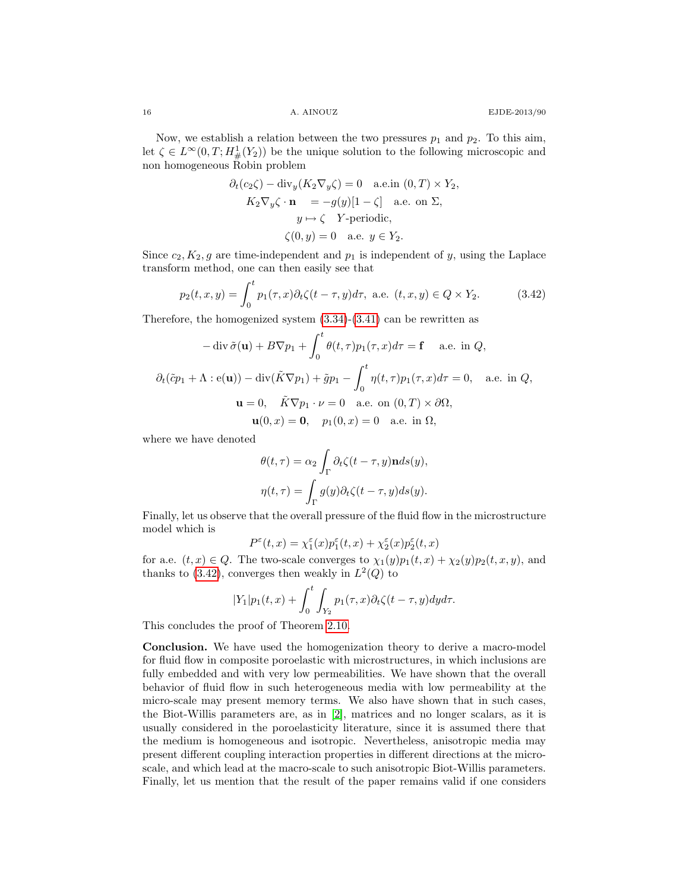Now, we establish a relation between the two pressures  $p_1$  and  $p_2$ . To this aim, let  $\zeta \in L^{\infty}(0,T; H^1_{\#}(Y_2))$  be the unique solution to the following microscopic and non homogeneous Robin problem

$$
\partial_t(c_2\zeta) - \text{div}_y(K_2\nabla_y\zeta) = 0 \quad \text{a.e. in } (0, T) \times Y_2,
$$
  
\n
$$
K_2\nabla_y\zeta \cdot \mathbf{n} = -g(y)[1-\zeta] \quad \text{a.e. on } \Sigma,
$$
  
\n
$$
y \mapsto \zeta \quad Y\text{-periodic},
$$
  
\n
$$
\zeta(0, y) = 0 \quad \text{a.e. } y \in Y_2.
$$

Since  $c_2, K_2, g$  are time-independent and  $p_1$  is independent of y, using the Laplace transform method, one can then easily see that

<span id="page-15-0"></span>
$$
p_2(t, x, y) = \int_0^t p_1(\tau, x) \partial_t \zeta(t - \tau, y) d\tau, \text{ a.e. } (t, x, y) \in Q \times Y_2.
$$
 (3.42)

Therefore, the homogenized system [\(3.34\)](#page-14-0)-[\(3.41\)](#page-14-1) can be rewritten as

$$
-\operatorname{div} \tilde{\sigma}(\mathbf{u}) + B\nabla p_1 + \int_0^t \theta(t, \tau) p_1(\tau, x) d\tau = \mathbf{f} \quad \text{a.e. in } Q,
$$
  

$$
\partial_t(\tilde{c}p_1 + \Lambda : \mathbf{e}(\mathbf{u})) - \operatorname{div}(\tilde{K}\nabla p_1) + \tilde{g}p_1 - \int_0^t \eta(t, \tau) p_1(\tau, x) d\tau = 0, \quad \text{a.e. in } Q,
$$
  

$$
\mathbf{u} = 0, \quad \tilde{K}\nabla p_1 \cdot \nu = 0 \quad \text{a.e. on } (0, T) \times \partial\Omega,
$$
  

$$
\mathbf{u}(0, x) = \mathbf{0}, \quad p_1(0, x) = 0 \quad \text{a.e. in } \Omega,
$$

where we have denoted

$$
\theta(t,\tau) = \alpha_2 \int_{\Gamma} \partial_t \zeta(t-\tau,y) \mathbf{n} ds(y),
$$

$$
\eta(t,\tau) = \int_{\Gamma} g(y) \partial_t \zeta(t-\tau,y) ds(y).
$$

Finally, let us observe that the overall pressure of the fluid flow in the microstructure model which is

$$
P^\varepsilon(t,x)=\chi^\varepsilon_1(x) p_1^\varepsilon(t,x)+\chi^\varepsilon_2(x) p_2^\varepsilon(t,x)
$$

for a.e.  $(t, x) \in Q$ . The two-scale converges to  $\chi_1(y)p_1(t, x) + \chi_2(y)p_2(t, x, y)$ , and thanks to  $(3.42)$ , converges then weakly in  $L^2(Q)$  to

$$
|Y_1|p_1(t,x)+\int_0^t\int_{Y_2}p_1(\tau,x)\partial_t\zeta(t-\tau,y)dyd\tau.
$$

This concludes the proof of Theorem [2.10.](#page-8-4)

Conclusion. We have used the homogenization theory to derive a macro-model for fluid flow in composite poroelastic with microstructures, in which inclusions are fully embedded and with very low permeabilities. We have shown that the overall behavior of fluid flow in such heterogeneous media with low permeability at the micro-scale may present memory terms. We also have shown that in such cases, the Biot-Willis parameters are, as in [\[2\]](#page-16-8), matrices and no longer scalars, as it is usually considered in the poroelasticity literature, since it is assumed there that the medium is homogeneous and isotropic. Nevertheless, anisotropic media may present different coupling interaction properties in different directions at the microscale, and which lead at the macro-scale to such anisotropic Biot-Willis parameters. Finally, let us mention that the result of the paper remains valid if one considers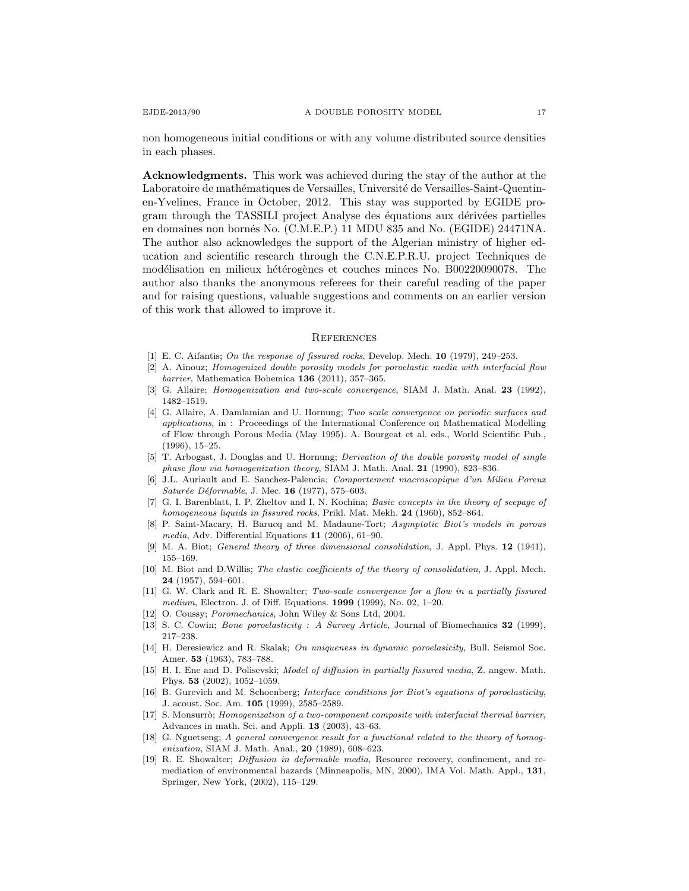non homogeneous initial conditions or with any volume distributed source densities in each phases.

Acknowledgments. This work was achieved during the stay of the author at the Laboratoire de mathématiques de Versailles, Université de Versailles-Saint-Quentinen-Yvelines, France in October, 2012. This stay was supported by EGIDE program through the TASSILI project Analyse des équations aux dérivées partielles en domaines non born´es No. (C.M.E.P.) 11 MDU 835 and No. (EGIDE) 24471NA. The author also acknowledges the support of the Algerian ministry of higher education and scientific research through the C.N.E.P.R.U. project Techniques de modélisation en milieux hétérogènes et couches minces No. B00220090078. The author also thanks the anonymous referees for their careful reading of the paper and for raising questions, valuable suggestions and comments on an earlier version of this work that allowed to improve it.

#### **REFERENCES**

- <span id="page-16-6"></span>[1] E. C. Aifantis; On the response of fissured rocks, Develop. Mech. 10 (1979), 249–253.
- <span id="page-16-8"></span>[2] A. Ainouz; Homogenized double porosity models for poroelastic media with interfacial flow barrier, Mathematica Bohemica  $136$  (2011), 357-365.
- <span id="page-16-10"></span>[3] G. Allaire; Homogenization and two-scale convergence, SIAM J. Math. Anal. 23 (1992), 1482–1519.
- <span id="page-16-15"></span>[4] G. Allaire, A. Damlamian and U. Hornung; Two scale convergence on periodic surfaces and applications, in : Proceedings of the International Conference on Mathematical Modelling of Flow through Porous Media (May 1995). A. Bourgeat et al. eds., World Scientific Pub., (1996), 15–25.
- <span id="page-16-9"></span>[5] T. Arbogast, J. Douglas and U. Hornung; *Derivation of the double porosity model of single* phase flow via homogenization theory, SIAM J. Math. Anal. 21 (1990), 823–836.
- <span id="page-16-5"></span>[6] J.L. Auriault and E. Sanchez-Palencia; Comportement macroscopique d'un Milieu Poreux  $Saturée Déformable, J. Mec. 16 (1977), 575–603.$
- <span id="page-16-2"></span>[7] G. I. Barenblatt, I. P. Zheltov and I. N. Kochina; Basic concepts in the theory of seepage of homogeneous liquids in fissured rocks, Prikl. Mat. Mekh. 24 (1960), 852–864.
- <span id="page-16-12"></span>[8] P. Saint-Macary, H. Barucq and M. Madaune-Tort; Asymptotic Biot's models in porous media, Adv. Differential Equations 11 (2006), 61–90.
- <span id="page-16-4"></span>[9] M. A. Biot; General theory of three dimensional consolidation, J. Appl. Phys. 12 (1941), 155–169.
- <span id="page-16-7"></span>[10] M. Biot and D.Willis; The elastic coefficients of the theory of consolidation, J. Appl. Mech. 24 (1957), 594–601.
- <span id="page-16-17"></span>[11] G. W. Clark and R. E. Showalter; Two-scale convergence for a flow in a partially fissured medium, Electron. J. of Diff. Equations. 1999 (1999), No. 02, 1–20.
- <span id="page-16-0"></span>[12] O. Coussy; Poromechanics, John Wiley & Sons Ltd, 2004.
- <span id="page-16-1"></span>[13] S. C. Cowin; Bone poroelasticity : A Survey Article, Journal of Biomechanics 32 (1999), 217–238.
- [14] H. Deresiewicz and R. Skalak; On uniqueness in dynamic poroelasicity, Bull. Seismol Soc. Amer. 53 (1963), 783–788.
- <span id="page-16-3"></span>[15] H. I. Ene and D. Polisevski; Model of diffusion in partially fissured media, Z. angew. Math. Phys. 53 (2002), 1052–1059.
- <span id="page-16-11"></span>[16] B. Gurevich and M. Schoenberg; Interface conditions for Biot's equations of poroelasticity, J. acoust. Soc. Am. 105 (1999), 2585–2589.
- <span id="page-16-14"></span>[17] S. Monsurrò; Homogenization of a two-component composite with interfacial thermal barrier, Advances in math. Sci. and Appli. 13 (2003), 43–63.
- <span id="page-16-16"></span>[18] G. Nguetseng; A general convergence result for a functional related to the theory of homogenization, SIAM J. Math. Anal., 20 (1989), 608–623.
- <span id="page-16-13"></span>[19] R. E. Showalter; Diffusion in deformable media, Resource recovery, confinement, and remediation of environmental hazards (Minneapolis, MN, 2000), IMA Vol. Math. Appl., 131, Springer, New York, (2002), 115–129.